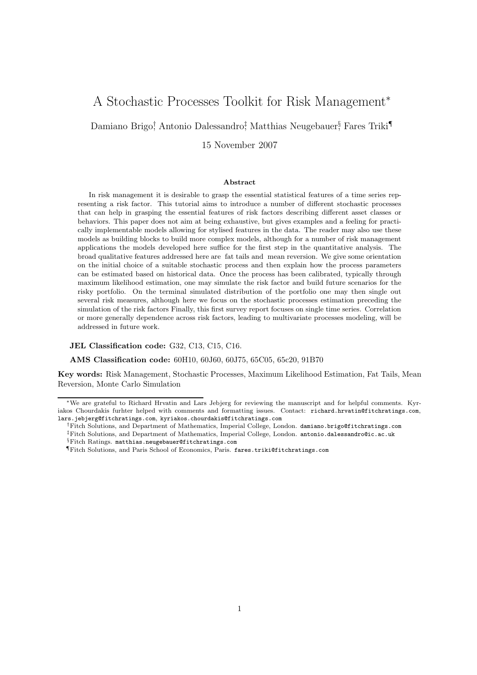# A Stochastic Processes Toolkit for Risk Management<sup>∗</sup>

Damiano Brigo<sup>†</sup>, Antonio Dalessandro<sup>‡</sup>, Matthias Neugebauer<sup>§</sup>, Fares Triki<sup>¶</sup>

15 November 2007

#### Abstract

In risk management it is desirable to grasp the essential statistical features of a time series representing a risk factor. This tutorial aims to introduce a number of different stochastic processes that can help in grasping the essential features of risk factors describing different asset classes or behaviors. This paper does not aim at being exhaustive, but gives examples and a feeling for practically implementable models allowing for stylised features in the data. The reader may also use these models as building blocks to build more complex models, although for a number of risk management applications the models developed here suffice for the first step in the quantitative analysis. The broad qualitative features addressed here are fat tails and mean reversion. We give some orientation on the initial choice of a suitable stochastic process and then explain how the process parameters can be estimated based on historical data. Once the process has been calibrated, typically through maximum likelihood estimation, one may simulate the risk factor and build future scenarios for the risky portfolio. On the terminal simulated distribution of the portfolio one may then single out several risk measures, although here we focus on the stochastic processes estimation preceding the simulation of the risk factors Finally, this first survey report focuses on single time series. Correlation or more generally dependence across risk factors, leading to multivariate processes modeling, will be addressed in future work.

#### JEL Classification code: G32, C13, C15, C16.

AMS Classification code: 60H10, 60J60, 60J75, 65C05, 65c20, 91B70

Key words: Risk Management, Stochastic Processes, Maximum Likelihood Estimation, Fat Tails, Mean Reversion, Monte Carlo Simulation

<sup>∗</sup>We are grateful to Richard Hrvatin and Lars Jebjerg for reviewing the manuscript and for helpful comments. Kyriakos Chourdakis furhter helped with comments and formatting issues. Contact: richard.hrvatin@fitchratings.com, lars.jebjerg@fitchratings.com, kyriakos.chourdakis@fitchratings.com

<sup>†</sup>Fitch Solutions, and Department of Mathematics, Imperial College, London. damiano.brigo@fitchratings.com

<sup>‡</sup>Fitch Solutions, and Department of Mathematics, Imperial College, London. antonio.dalessandro@ic.ac.uk  $\S$  Fitch Ratings. matthias.neugebauer@fitchratings.com

<sup>¶</sup>Fitch Solutions, and Paris School of Economics, Paris. fares.triki@fitchratings.com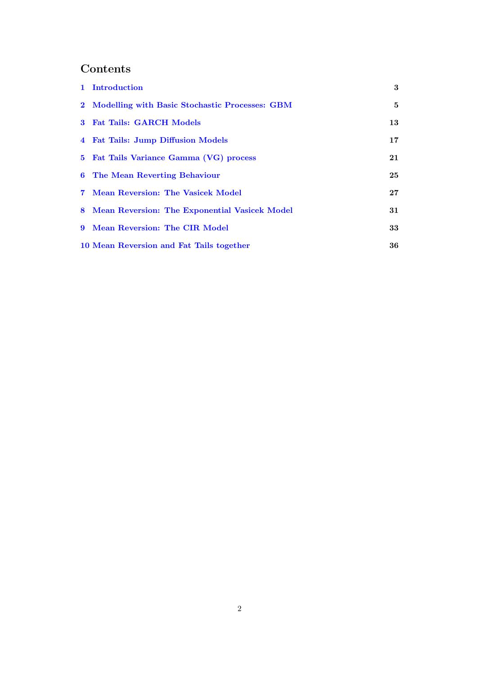# Contents

| 1 Introduction                                   | 3  |
|--------------------------------------------------|----|
| 2 Modelling with Basic Stochastic Processes: GBM | 5  |
| 3 Fat Tails: GARCH Models                        | 13 |
| 4 Fat Tails: Jump Diffusion Models               | 17 |
| 5 Fat Tails Variance Gamma (VG) process          | 21 |
| 6 The Mean Reverting Behaviour                   | 25 |
| 7 Mean Reversion: The Vasicek Model              | 27 |
| 8 Mean Reversion: The Exponential Vasicek Model  | 31 |
| 9 Mean Reversion: The CIR Model                  | 33 |
| 10 Mean Reversion and Fat Tails together         | 36 |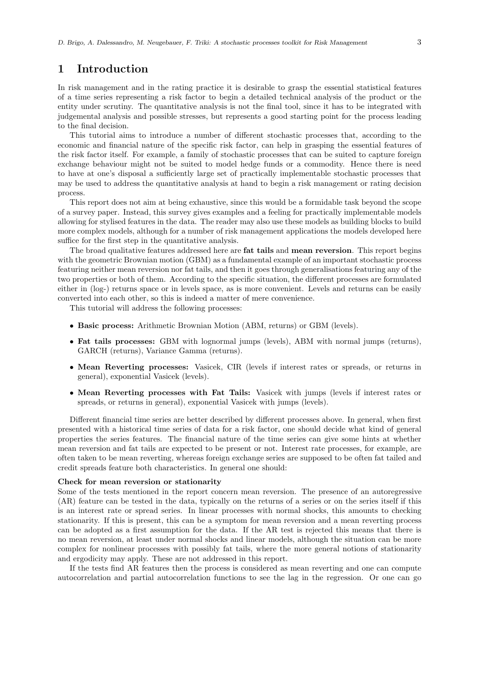# <span id="page-2-0"></span>1 Introduction

In risk management and in the rating practice it is desirable to grasp the essential statistical features of a time series representing a risk factor to begin a detailed technical analysis of the product or the entity under scrutiny. The quantitative analysis is not the final tool, since it has to be integrated with judgemental analysis and possible stresses, but represents a good starting point for the process leading to the final decision.

This tutorial aims to introduce a number of different stochastic processes that, according to the economic and financial nature of the specific risk factor, can help in grasping the essential features of the risk factor itself. For example, a family of stochastic processes that can be suited to capture foreign exchange behaviour might not be suited to model hedge funds or a commodity. Hence there is need to have at one's disposal a sufficiently large set of practically implementable stochastic processes that may be used to address the quantitative analysis at hand to begin a risk management or rating decision process.

This report does not aim at being exhaustive, since this would be a formidable task beyond the scope of a survey paper. Instead, this survey gives examples and a feeling for practically implementable models allowing for stylised features in the data. The reader may also use these models as building blocks to build more complex models, although for a number of risk management applications the models developed here suffice for the first step in the quantitative analysis.

The broad qualitative features addressed here are fat tails and mean reversion. This report begins with the geometric Brownian motion (GBM) as a fundamental example of an important stochastic process featuring neither mean reversion nor fat tails, and then it goes through generalisations featuring any of the two properties or both of them. According to the specific situation, the different processes are formulated either in (log-) returns space or in levels space, as is more convenient. Levels and returns can be easily converted into each other, so this is indeed a matter of mere convenience.

This tutorial will address the following processes:

- Basic process: Arithmetic Brownian Motion (ABM, returns) or GBM (levels).
- Fat tails processes: GBM with lognormal jumps (levels), ABM with normal jumps (returns), GARCH (returns), Variance Gamma (returns).
- Mean Reverting processes: Vasicek, CIR (levels if interest rates or spreads, or returns in general), exponential Vasicek (levels).
- Mean Reverting processes with Fat Tails: Vasicek with jumps (levels if interest rates or spreads, or returns in general), exponential Vasicek with jumps (levels).

Different financial time series are better described by different processes above. In general, when first presented with a historical time series of data for a risk factor, one should decide what kind of general properties the series features. The financial nature of the time series can give some hints at whether mean reversion and fat tails are expected to be present or not. Interest rate processes, for example, are often taken to be mean reverting, whereas foreign exchange series are supposed to be often fat tailed and credit spreads feature both characteristics. In general one should:

#### Check for mean reversion or stationarity

Some of the tests mentioned in the report concern mean reversion. The presence of an autoregressive (AR) feature can be tested in the data, typically on the returns of a series or on the series itself if this is an interest rate or spread series. In linear processes with normal shocks, this amounts to checking stationarity. If this is present, this can be a symptom for mean reversion and a mean reverting process can be adopted as a first assumption for the data. If the AR test is rejected this means that there is no mean reversion, at least under normal shocks and linear models, although the situation can be more complex for nonlinear processes with possibly fat tails, where the more general notions of stationarity and ergodicity may apply. These are not addressed in this report.

If the tests find AR features then the process is considered as mean reverting and one can compute autocorrelation and partial autocorrelation functions to see the lag in the regression. Or one can go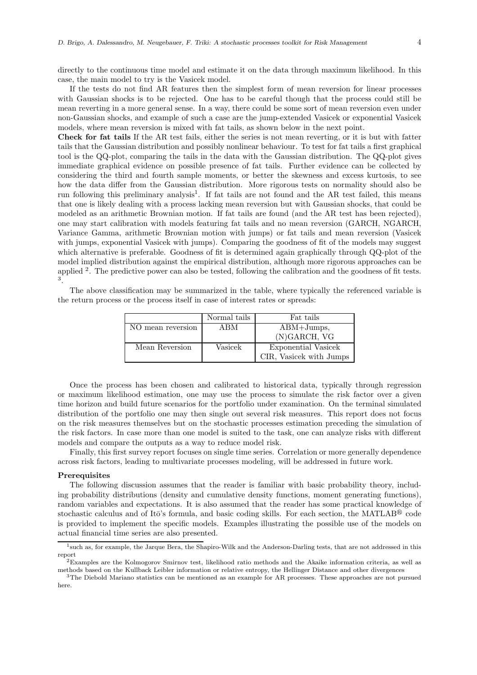directly to the continuous time model and estimate it on the data through maximum likelihood. In this case, the main model to try is the Vasicek model.

If the tests do not find AR features then the simplest form of mean reversion for linear processes with Gaussian shocks is to be rejected. One has to be careful though that the process could still be mean reverting in a more general sense. In a way, there could be some sort of mean reversion even under non-Gaussian shocks, and example of such a case are the jump-extended Vasicek or exponential Vasicek models, where mean reversion is mixed with fat tails, as shown below in the next point.

Check for fat tails If the AR test fails, either the series is not mean reverting, or it is but with fatter tails that the Gaussian distribution and possibly nonlinear behaviour. To test for fat tails a first graphical tool is the QQ-plot, comparing the tails in the data with the Gaussian distribution. The QQ-plot gives immediate graphical evidence on possible presence of fat tails. Further evidence can be collected by considering the third and fourth sample moments, or better the skewness and excess kurtosis, to see how the data differ from the Gaussian distribution. More rigorous tests on normality should also be run following this preliminary analysis<sup>1</sup>. If fat tails are not found and the AR test failed, this means that one is likely dealing with a process lacking mean reversion but with Gaussian shocks, that could be modeled as an arithmetic Brownian motion. If fat tails are found (and the AR test has been rejected), one may start calibration with models featuring fat tails and no mean reversion (GARCH, NGARCH, Variance Gamma, arithmetic Brownian motion with jumps) or fat tails and mean reversion (Vasicek with jumps, exponential Vasicek with jumps). Comparing the goodness of fit of the models may suggest which alternative is preferable. Goodness of fit is determined again graphically through QQ-plot of the model implied distribution against the empirical distribution, although more rigorous approaches can be applied <sup>2</sup>. The predictive power can also be tested, following the calibration and the goodness of fit tests. 3 .

The above classification may be summarized in the table, where typically the referenced variable is the return process or the process itself in case of interest rates or spreads:

|                   | Normal tails | Fat tails               |
|-------------------|--------------|-------------------------|
| NO mean reversion | ABM          | $ABM+Jumps,$            |
|                   |              | (N)GARCH, VG            |
| Mean Reversion    | Vasicek      | Exponential Vasicek     |
|                   |              | CIR, Vasicek with Jumps |

Once the process has been chosen and calibrated to historical data, typically through regression or maximum likelihood estimation, one may use the process to simulate the risk factor over a given time horizon and build future scenarios for the portfolio under examination. On the terminal simulated distribution of the portfolio one may then single out several risk measures. This report does not focus on the risk measures themselves but on the stochastic processes estimation preceding the simulation of the risk factors. In case more than one model is suited to the task, one can analyze risks with different models and compare the outputs as a way to reduce model risk.

Finally, this first survey report focuses on single time series. Correlation or more generally dependence across risk factors, leading to multivariate processes modeling, will be addressed in future work.

#### Prerequisites

The following discussion assumes that the reader is familiar with basic probability theory, including probability distributions (density and cumulative density functions, moment generating functions), random variables and expectations. It is also assumed that the reader has some practical knowledge of stochastic calculus and of Itō's formula, and basic coding skills. For each section, the MATLAB® code is provided to implement the specific models. Examples illustrating the possible use of the models on actual financial time series are also presented.

<sup>&</sup>lt;sup>1</sup> such as, for example, the Jarque Bera, the Shapiro-Wilk and the Anderson-Darling tests, that are not addressed in this report

<sup>2</sup>Examples are the Kolmogorov Smirnov test, likelihood ratio methods and the Akaike information criteria, as well as methods based on the Kullback Leibler information or relative entropy, the Hellinger Distance and other divergences

<sup>3</sup>The Diebold Mariano statistics can be mentioned as an example for AR processes. These approaches are not pursued here.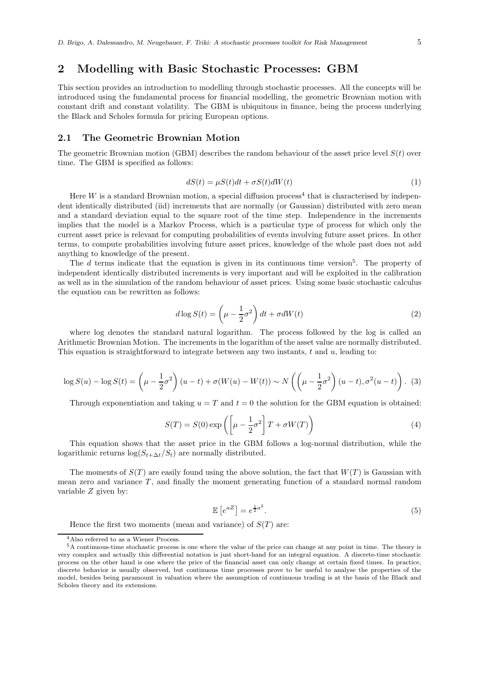# <span id="page-4-0"></span>2 Modelling with Basic Stochastic Processes: GBM

This section provides an introduction to modelling through stochastic processes. All the concepts will be introduced using the fundamental process for financial modelling, the geometric Brownian motion with constant drift and constant volatility. The GBM is ubiquitous in finance, being the process underlying the Black and Scholes formula for pricing European options.

#### 2.1 The Geometric Brownian Motion

The geometric Brownian motion (GBM) describes the random behaviour of the asset price level  $S(t)$  over time. The GBM is specified as follows:

<span id="page-4-2"></span>
$$
dS(t) = \mu S(t)dt + \sigma S(t)dW(t)
$$
\n(1)

Here W is a standard Brownian motion, a special diffusion  $\text{process}^4$  that is characterised by independent identically distributed (iid) increments that are normally (or Gaussian) distributed with zero mean and a standard deviation equal to the square root of the time step. Independence in the increments implies that the model is a Markov Process, which is a particular type of process for which only the current asset price is relevant for computing probabilities of events involving future asset prices. In other terms, to compute probabilities involving future asset prices, knowledge of the whole past does not add anything to knowledge of the present.

The  $d$  terms indicate that the equation is given in its continuous time version<sup>5</sup>. The property of independent identically distributed increments is very important and will be exploited in the calibration as well as in the simulation of the random behaviour of asset prices. Using some basic stochastic calculus the equation can be rewritten as follows:

<span id="page-4-3"></span>
$$
d \log S(t) = \left(\mu - \frac{1}{2}\sigma^2\right)dt + \sigma dW(t)
$$
\n(2)

where log denotes the standard natural logarithm. The process followed by the log is called an Arithmetic Brownian Motion. The increments in the logarithm of the asset value are normally distributed. This equation is straightforward to integrate between any two instants,  $t$  and  $u$ , leading to:

<span id="page-4-1"></span>
$$
\log S(u) - \log S(t) = \left(\mu - \frac{1}{2}\sigma^2\right)(u - t) + \sigma(W(u) - W(t)) \sim N\left(\left(\mu - \frac{1}{2}\sigma^2\right)(u - t), \sigma^2(u - t)\right). \tag{3}
$$

Through exponentiation and taking  $u = T$  and  $t = 0$  the solution for the GBM equation is obtained:

$$
S(T) = S(0) \exp\left(\left[\mu - \frac{1}{2}\sigma^2\right]T + \sigma W(T)\right)
$$
\n(4)

This equation shows that the asset price in the GBM follows a log-normal distribution, while the logarithmic returns  $\log(S_{t+\Delta t}/S_t)$  are normally distributed.

The moments of  $S(T)$  are easily found using the above solution, the fact that  $W(T)$  is Gaussian with mean zero and variance  $T$ , and finally the moment generating function of a standard normal random variable Z given by:

$$
\mathbb{E}\left[e^{aZ}\right] = e^{\frac{1}{2}a^2}.\tag{5}
$$

Hence the first two moments (mean and variance) of  $S(T)$  are:

 $\overline{^{4}\text{Also}}$  referred to as a Wiener Process.

<sup>5</sup>A continuous-time stochastic process is one where the value of the price can change at any point in time. The theory is very complex and actually this differential notation is just short-hand for an integral equation. A discrete-time stochastic process on the other hand is one where the price of the financial asset can only change at certain fixed times. In practice, discrete behavior is usually observed, but continuous time processes prove to be useful to analyse the properties of the model, besides being paramount in valuation where the assumption of continuous trading is at the basis of the Black and Scholes theory and its extensions.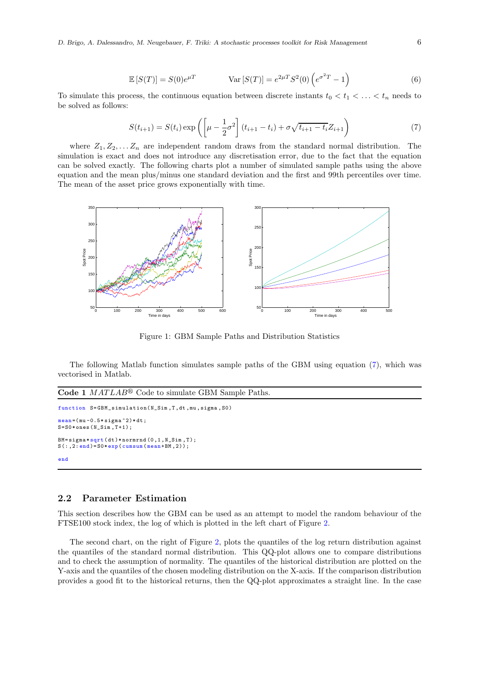D. Brigo, A. Dalessandro, M. Neugebauer, F. Triki: A stochastic processes toolkit for Risk Management 6

$$
\mathbb{E}\left[S(T)\right] = S(0)e^{\mu T} \qquad \text{Var}\left[S(T)\right] = e^{2\mu T}S^2(0)\left(e^{\sigma^2 T} - 1\right) \tag{6}
$$

To simulate this process, the continuous equation between discrete instants  $t_0 < t_1 < \ldots < t_n$  needs to be solved as follows:

<span id="page-5-0"></span>
$$
S(t_{i+1}) = S(t_i) \exp\left(\left[\mu - \frac{1}{2}\sigma^2\right](t_{i+1} - t_i) + \sigma\sqrt{t_{i+1} - t_i} Z_{i+1}\right)
$$
(7)

where  $Z_1, Z_2, \ldots, Z_n$  are independent random draws from the standard normal distribution. The simulation is exact and does not introduce any discretisation error, due to the fact that the equation can be solved exactly. The following charts plot a number of simulated sample paths using the above equation and the mean plus/minus one standard deviation and the first and 99th percentiles over time. The mean of the asset price grows exponentially with time.



Figure 1: GBM Sample Paths and Distribution Statistics

The following Matlab function simulates sample paths of the GBM using equation [\(7\)](#page-5-0), which was vectorised in Matlab.

```
Code 1 MATLAB^{\circledR} Code to simulate GBM Sample Paths.
function S= GBM_simulation( N_Sim ,T ,dt ,mu , sigma , S0 )
mean = (mu - 0.5 * sigma^2)*dt;
S = SO * ones(N_Sim, T+1);BM=sigma*sqrt(dt)*normrnd(0,1,N_Sim,T);<br>S(:,2:end)=S0*exp(cumsum(mean+BM,2));
end
```
### 2.2 Parameter Estimation

This section describes how the GBM can be used as an attempt to model the random behaviour of the FTSE100 stock index, the log of which is plotted in the left chart of Figure [2.](#page-6-0)

The second chart, on the right of Figure [2,](#page-6-0) plots the quantiles of the log return distribution against the quantiles of the standard normal distribution. This QQ-plot allows one to compare distributions and to check the assumption of normality. The quantiles of the historical distribution are plotted on the Y-axis and the quantiles of the chosen modeling distribution on the X-axis. If the comparison distribution provides a good fit to the historical returns, then the QQ-plot approximates a straight line. In the case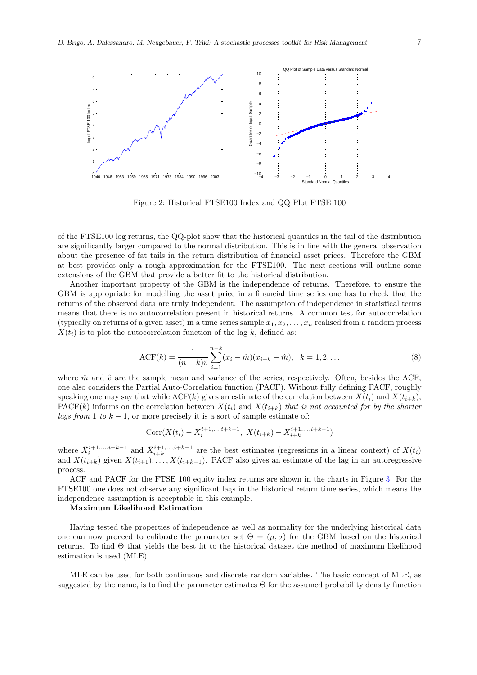

<span id="page-6-0"></span>Figure 2: Historical FTSE100 Index and QQ Plot FTSE 100

of the FTSE100 log returns, the QQ-plot show that the historical quantiles in the tail of the distribution are significantly larger compared to the normal distribution. This is in line with the general observation about the presence of fat tails in the return distribution of financial asset prices. Therefore the GBM at best provides only a rough approximation for the FTSE100. The next sections will outline some extensions of the GBM that provide a better fit to the historical distribution.

Another important property of the GBM is the independence of returns. Therefore, to ensure the GBM is appropriate for modelling the asset price in a financial time series one has to check that the returns of the observed data are truly independent. The assumption of independence in statistical terms means that there is no autocorrelation present in historical returns. A common test for autocorrelation (typically on returns of a given asset) in a time series sample  $x_1, x_2, \ldots, x_n$  realised from a random process  $X(t_i)$  is to plot the autocorrelation function of the lag k, defined as:

<span id="page-6-1"></span>
$$
\text{ACF}(k) = \frac{1}{(n-k)\hat{v}} \sum_{i=1}^{n-k} (x_i - \hat{m})(x_{i+k} - \hat{m}), \quad k = 1, 2, \dots
$$
 (8)

where  $\hat{m}$  and  $\hat{v}$  are the sample mean and variance of the series, respectively. Often, besides the ACF, one also considers the Partial Auto-Correlation function (PACF). Without fully defining PACF, roughly speaking one may say that while ACF(k) gives an estimate of the correlation between  $X(t_i)$  and  $X(t_{i+k}),$ PACF(k) informs on the correlation between  $X(t_i)$  and  $X(t_{i+k})$  that is not accounted for by the shorter lags from 1 to  $k - 1$ , or more precisely it is a sort of sample estimate of:

$$
Corr(X(t_i) - \bar{X}_i^{i+1,\dots,i+k-1}, X(t_{i+k}) - \bar{X}_{i+k}^{i+1,\dots,i+k-1})
$$

where  $\bar{X}_i^{i+1,\ldots,i+k-1}$  and  $\bar{X}_{i+k}^{i+1,\ldots,i+k-1}$  are the best estimates (regressions in a linear context) of  $X(t_i)$ and  $X(t_{i+k})$  given  $X(t_{i+1}), \ldots, X(t_{i+k-1})$ . PACF also gives an estimate of the lag in an autoregressive process.

ACF and PACF for the FTSE 100 equity index returns are shown in the charts in Figure [3.](#page-7-0) For the FTSE100 one does not observe any significant lags in the historical return time series, which means the independence assumption is acceptable in this example.

#### Maximum Likelihood Estimation

Having tested the properties of independence as well as normality for the underlying historical data one can now proceed to calibrate the parameter set  $\Theta = (\mu, \sigma)$  for the GBM based on the historical returns. To find Θ that yields the best fit to the historical dataset the method of maximum likelihood estimation is used (MLE).

MLE can be used for both continuous and discrete random variables. The basic concept of MLE, as suggested by the name, is to find the parameter estimates Θ for the assumed probability density function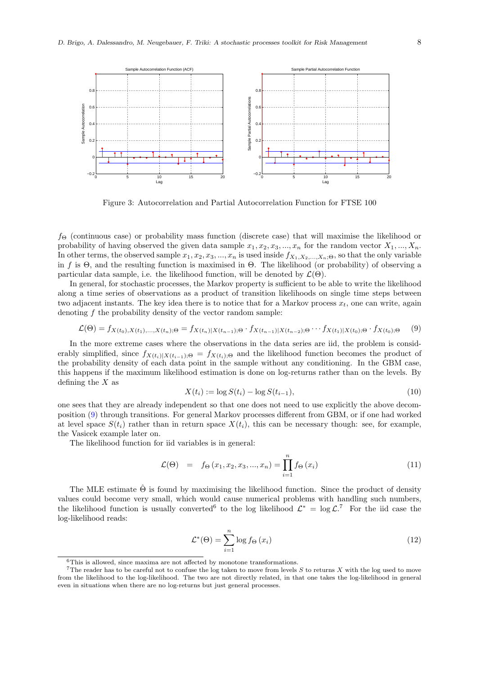

<span id="page-7-0"></span>Figure 3: Autocorrelation and Partial Autocorrelation Function for FTSE 100

 $f_{\Theta}$  (continuous case) or probability mass function (discrete case) that will maximise the likelihood or probability of having observed the given data sample  $x_1, x_2, x_3, ..., x_n$  for the random vector  $X_1, ..., X_n$ . In other terms, the observed sample  $x_1, x_2, x_3, ..., x_n$  is used inside  $f_{X_1, X_2, ..., X_n; \Theta}$ , so that the only variable in f is  $\Theta$ , and the resulting function is maximised in  $\Theta$ . The likelihood (or probability) of observing a particular data sample, i.e. the likelihood function, will be denoted by  $\mathcal{L}(\Theta)$ .

In general, for stochastic processes, the Markov property is sufficient to be able to write the likelihood along a time series of observations as a product of transition likelihoods on single time steps between two adjacent instants. The key idea there is to notice that for a Markov process  $x_t$ , one can write, again denoting f the probability density of the vector random sample:

<span id="page-7-1"></span>
$$
\mathcal{L}(\Theta) = f_{X(t_0), X(t_1), ..., X(t_n); \Theta} = f_{X(t_n)|X(t_{n-1}); \Theta} \cdot f_{X(t_{n-1})|X(t_{n-2}); \Theta} \cdots f_{X(t_1)|X(t_0); \Theta} \cdot f_{X(t_0); \Theta} \tag{9}
$$

In the more extreme cases where the observations in the data series are iid, the problem is considerably simplified, since  $f_{X(t_i)|X(t_{i-1});\Theta} = f_{X(t_i);\Theta}$  and the likelihood function becomes the product of the probability density of each data point in the sample without any conditioning. In the GBM case, this happens if the maximum likelihood estimation is done on log-returns rather than on the levels. By defining the  $X$  as

<span id="page-7-2"></span>
$$
X(t_i) := \log S(t_i) - \log S(t_{i-1}),\tag{10}
$$

one sees that they are already independent so that one does not need to use explicitly the above decomposition [\(9\)](#page-7-1) through transitions. For general Markov processes different from GBM, or if one had worked at level space  $S(t_i)$  rather than in return space  $X(t_i)$ , this can be necessary though: see, for example, the Vasicek example later on.

The likelihood function for iid variables is in general:

$$
\mathcal{L}(\Theta) = f_{\Theta}(x_1, x_2, x_3, ..., x_n) = \prod_{i=1}^n f_{\Theta}(x_i)
$$
\n(11)

The MLE estimate  $\hat{\Theta}$  is found by maximising the likelihood function. Since the product of density values could become very small, which would cause numerical problems with handling such numbers, the likelihood function is usually converted<sup>6</sup> to the log likelihood  $\mathcal{L}^* = \log \mathcal{L}$ .<sup>7</sup> For the iid case the log-likelihood reads:

$$
\mathcal{L}^*(\Theta) = \sum_{i=1}^n \log f_{\Theta}(x_i)
$$
\n(12)

<sup>6</sup>This is allowed, since maxima are not affected by monotone transformations.

<sup>&</sup>lt;sup>7</sup>The reader has to be careful not to confuse the log taken to move from levels  $S$  to returns  $X$  with the log used to move from the likelihood to the log-likelihood. The two are not directly related, in that one takes the log-likelihood in general even in situations when there are no log-returns but just general processes.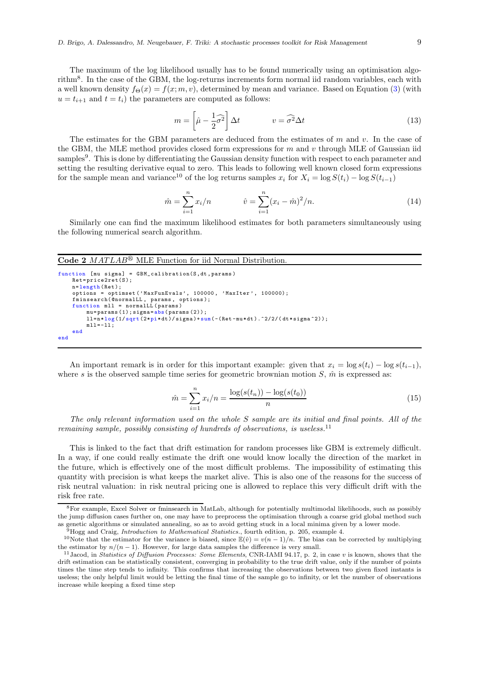The maximum of the log likelihood usually has to be found numerically using an optimisation algorithm<sup>8</sup>. In the case of the GBM, the log-returns increments form normal iid random variables, each with a well known density  $f_{\Theta}(x) = f(x; m, v)$ , determined by mean and variance. Based on Equation [\(3\)](#page-4-1) (with  $u = t_{i+1}$  and  $t = t_i$ ) the parameters are computed as follows:

$$
m = \left[\hat{\mu} - \frac{1}{2}\hat{\sigma}^2\right] \Delta t \qquad v = \hat{\sigma}^2 \Delta t \qquad (13)
$$

The estimates for the GBM parameters are deduced from the estimates of  $m$  and  $v$ . In the case of the GBM, the MLE method provides closed form expressions for  $m$  and  $v$  through MLE of Gaussian iid samples<sup>9</sup>. This is done by differentiating the Gaussian density function with respect to each parameter and setting the resulting derivative equal to zero. This leads to following well known closed form expressions for the sample mean and variance<sup>10</sup> of the log returns samples  $x_i$  for  $X_i = \log S(t_i) - \log S(t_{i-1})$ 

$$
\hat{m} = \sum_{i=1}^{n} x_i/n \qquad \hat{v} = \sum_{i=1}^{n} (x_i - \hat{m})^2/n. \tag{14}
$$

Similarly one can find the maximum likelihood estimates for both parameters simultaneously using the following numerical search algorithm.

#### **Code 2** MATLAB<sup>®</sup> MLE Function for iid Normal Distribution.

```
function [mu sigma] = GBM_calibration(S,dt, params)
    Ret = price2ret(S);n= length ( Ret );
    options = optimset ( ' MaxFunEvals', 100000 , ' MaxIter ', 100000);
    fminsearch( @normalLL , params , options );
    function mll = normalLL ( params )
         mu = params (1); sigma = abs (params (2));
         l1=n*log(1/sqrt(2*pi*dt)/sigma)+sum(-(Ret-mu*dt).^2/2/(dt*signa^2));m11 = -11:
    end
end
```
An important remark is in order for this important example: given that  $x_i = \log s(t_i) - \log s(t_{i-1}),$ where s is the observed sample time series for geometric brownian motion  $S$ ,  $\hat{m}$  is expressed as:

$$
\hat{m} = \sum_{i=1}^{n} x_i/n = \frac{\log(s(t_n)) - \log(s(t_0))}{n}
$$
\n(15)

The only relevant information used on the whole S sample are its initial and final points. All of the remaining sample, possibly consisting of hundreds of observations, is useless.<sup>11</sup>

This is linked to the fact that drift estimation for random processes like GBM is extremely difficult. In a way, if one could really estimate the drift one would know locally the direction of the market in the future, which is effectively one of the most difficult problems. The impossibility of estimating this quantity with precision is what keeps the market alive. This is also one of the reasons for the success of risk neutral valuation: in risk neutral pricing one is allowed to replace this very difficult drift with the risk free rate.

<sup>8</sup>For example, Excel Solver or fminsearch in MatLab, although for potentially multimodal likelihoods, such as possibly the jump diffusion cases further on, one may have to preprocess the optimisation through a coarse grid global method such as genetic algorithms or simulated annealing, so as to avoid getting stuck in a local minima given by a lower mode.

Hogg and Craig, *Introduction to Mathematical Statistics.*, fourth edition, p. 205, example 4.

<sup>&</sup>lt;sup>10</sup>Note that the estimator for the variance is biased, since  $\mathbb{E}(\hat{v}) = v(n-1)/n$ . The bias can be corrected by multiplying the estimator by  $n/(n-1)$ . However, for large data samples the difference is very small.

 $11$  Jacod, in Statistics of Diffusion Processes: Some Elements, CNR-IAMI 94.17, p. 2, in case v is known, shows that the drift estimation can be statistically consistent, converging in probability to the true drift value, only if the number of points times the time step tends to infinity. This confirms that increasing the observations between two given fixed instants is useless; the only helpful limit would be letting the final time of the sample go to infinity, or let the number of observations increase while keeping a fixed time step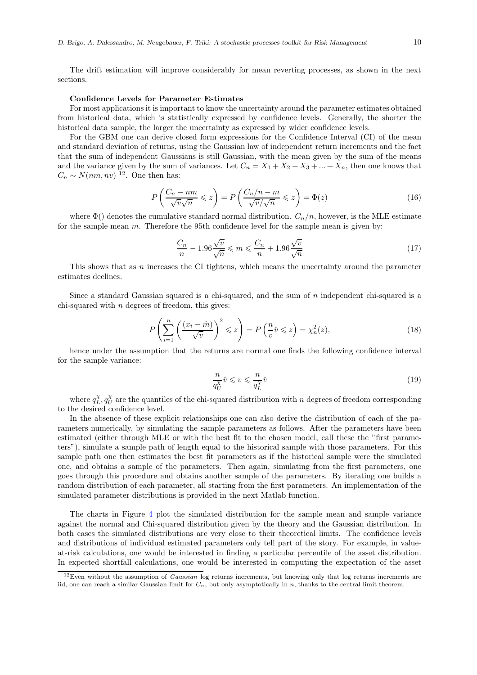The drift estimation will improve considerably for mean reverting processes, as shown in the next sections.

#### Confidence Levels for Parameter Estimates

For most applications it is important to know the uncertainty around the parameter estimates obtained from historical data, which is statistically expressed by confidence levels. Generally, the shorter the historical data sample, the larger the uncertainty as expressed by wider confidence levels.

For the GBM one can derive closed form expressions for the Confidence Interval (CI) of the mean and standard deviation of returns, using the Gaussian law of independent return increments and the fact that the sum of independent Gaussians is still Gaussian, with the mean given by the sum of the means and the variance given by the sum of variances. Let  $C_n = X_1 + X_2 + X_3 + ... + X_n$ , then one knows that  $C_n \sim N(nm, nv)^{12}$ . One then has:

$$
P\left(\frac{C_n - nm}{\sqrt{v}\sqrt{n}} \leqslant z\right) = P\left(\frac{C_n/n - m}{\sqrt{v}/\sqrt{n}} \leqslant z\right) = \Phi(z)
$$
\n(16)

where  $\Phi()$  denotes the cumulative standard normal distribution.  $C_n/n$ , however, is the MLE estimate for the sample mean m. Therefore the 95th confidence level for the sample mean is given by:

$$
\frac{C_n}{n} - 1.96 \frac{\sqrt{v}}{\sqrt{n}} \leqslant m \leqslant \frac{C_n}{n} + 1.96 \frac{\sqrt{v}}{\sqrt{n}} \tag{17}
$$

This shows that as  $n$  increases the CI tightens, which means the uncertainty around the parameter estimates declines.

Since a standard Gaussian squared is a chi-squared, and the sum of  $n$  independent chi-squared is a chi-squared with  $n$  degrees of freedom, this gives:

$$
P\left(\sum_{i=1}^{n} \left(\frac{(x_i - \hat{m})}{\sqrt{v}}\right)^2 \leqslant z\right) = P\left(\frac{n}{v}\hat{v} \leqslant z\right) = \chi_n^2(z),\tag{18}
$$

hence under the assumption that the returns are normal one finds the following confidence interval for the sample variance:

<span id="page-9-0"></span>
$$
\frac{n}{q_U^{\chi}}\hat{v} \leqslant v \leqslant \frac{n}{q_L^{\chi}}\hat{v}
$$
\n<sup>(19)</sup>

where  $q_L^{\chi}, q_U^{\chi}$  are the quantiles of the chi-squared distribution with n degrees of freedom corresponding to the desired confidence level.

In the absence of these explicit relationships one can also derive the distribution of each of the parameters numerically, by simulating the sample parameters as follows. After the parameters have been estimated (either through MLE or with the best fit to the chosen model, call these the "first parameters"), simulate a sample path of length equal to the historical sample with those parameters. For this sample path one then estimates the best fit parameters as if the historical sample were the simulated one, and obtains a sample of the parameters. Then again, simulating from the first parameters, one goes through this procedure and obtains another sample of the parameters. By iterating one builds a random distribution of each parameter, all starting from the first parameters. An implementation of the simulated parameter distributions is provided in the next Matlab function.

The charts in Figure [4](#page-10-0) plot the simulated distribution for the sample mean and sample variance against the normal and Chi-squared distribution given by the theory and the Gaussian distribution. In both cases the simulated distributions are very close to their theoretical limits. The confidence levels and distributions of individual estimated parameters only tell part of the story. For example, in valueat-risk calculations, one would be interested in finding a particular percentile of the asset distribution. In expected shortfall calculations, one would be interested in computing the expectation of the asset

 $12$ Even without the assumption of *Gaussian* log returns increments, but knowing only that log returns increments are iid, one can reach a similar Gaussian limit for  $C_n$ , but only asymptotically in n, thanks to the central limit theorem.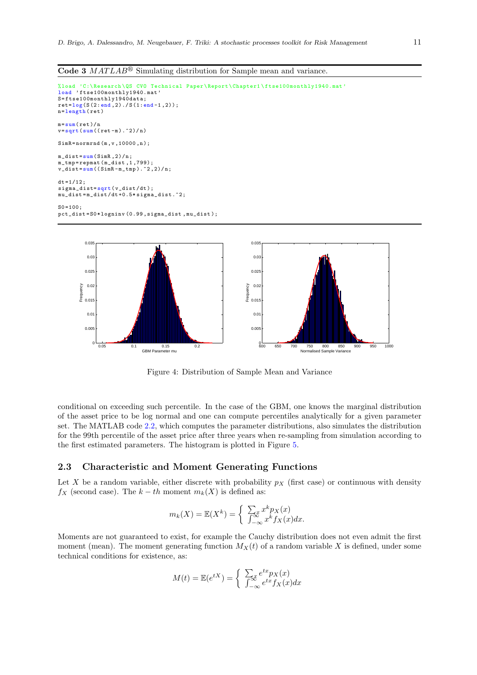Code 3  $MATLAB^{\circledR}$  Simulating distribution for Sample mean and variance.

```
%load 'C:\Research \ QS CVO Technical Paper \ Report \ Chapter1 \ftse100monthly1940.mat'
load ' ftse100monthly1940. mat '
S=ftse100monthly1940data;
ret= log(S (2: end ,2)./ S (1:end -1 ,2));
n=length (ret)
m = sum(ret)/nv = sqrt(sum((ret-m).^2)/n)SimR=normrnd (m, v, 10000, n);
m dist = sum(SimR .2)/n;
\texttt{m\_tmp} \texttt{report} (\texttt{m\_dist} , 1 , 799) ;
v_{\text{dist}} = \text{sum} ((\text{SimR} - \text{m} _\text{tmp}) . \text{m}^2, 2) / \text{n};dt = 1/12;
sigma_dist= sqrt(v_dist/dt);
mu_dist = m_dist / dt +0.5* sigma_dist.^2;
SO = 100;
pct_dist = S0 * logninv (0.99 , sigma_dist , mu_dist );
          0.035
                                                                          0.035
```


<span id="page-10-0"></span>Figure 4: Distribution of Sample Mean and Variance

conditional on exceeding such percentile. In the case of the GBM, one knows the marginal distribution of the asset price to be log normal and one can compute percentiles analytically for a given parameter set. The MATLAB code [2.2,](#page-9-0) which computes the parameter distributions, also simulates the distribution for the 99th percentile of the asset price after three years when re-sampling from simulation according to the first estimated parameters. The histogram is plotted in Figure [5.](#page-11-0)

#### 2.3 Characteristic and Moment Generating Functions

Let X be a random variable, either discrete with probability  $p<sub>X</sub>$  (first case) or continuous with density  $f_X$  (second case). The  $k-th$  moment  $m_k(X)$  is defined as:

$$
m_k(X) = \mathbb{E}(X^k) = \begin{cases} \sum_x x^k p_X(x) \\ \int_{-\infty}^{\infty} x^k f_X(x) dx. \end{cases}
$$

Moments are not guaranteed to exist, for example the Cauchy distribution does not even admit the first moment (mean). The moment generating function  $M_X(t)$  of a random variable X is defined, under some technical conditions for existence, as:

$$
M(t) = \mathbb{E}(e^{tX}) = \begin{cases} \sum_{x} e^{tx} p_X(x) \\ \int_{-\infty}^{\infty} e^{tx} f_X(x) dx \end{cases}
$$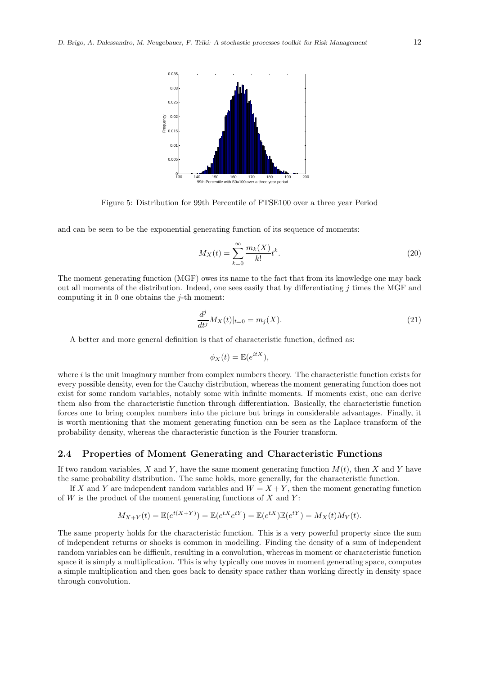

<span id="page-11-0"></span>Figure 5: Distribution for 99th Percentile of FTSE100 over a three year Period

and can be seen to be the exponential generating function of its sequence of moments:

$$
M_X(t) = \sum_{k=0}^{\infty} \frac{m_k(X)}{k!} t^k.
$$
 (20)

The moment generating function (MGF) owes its name to the fact that from its knowledge one may back out all moments of the distribution. Indeed, one sees easily that by differentiating  $j$  times the MGF and computing it in 0 one obtains the  $i$ -th moment:

$$
\frac{d^j}{dt^j} M_X(t)|_{t=0} = m_j(X). \tag{21}
$$

A better and more general definition is that of characteristic function, defined as:

$$
\phi_X(t) = \mathbb{E}(e^{itX}),
$$

where i is the unit imaginary number from complex numbers theory. The characteristic function exists for every possible density, even for the Cauchy distribution, whereas the moment generating function does not exist for some random variables, notably some with infinite moments. If moments exist, one can derive them also from the characteristic function through differentiation. Basically, the characteristic function forces one to bring complex numbers into the picture but brings in considerable advantages. Finally, it is worth mentioning that the moment generating function can be seen as the Laplace transform of the probability density, whereas the characteristic function is the Fourier transform.

#### 2.4 Properties of Moment Generating and Characteristic Functions

If two random variables, X and Y, have the same moment generating function  $M(t)$ , then X and Y have the same probability distribution. The same holds, more generally, for the characteristic function.

If X and Y are independent random variables and  $W = X + Y$ , then the moment generating function of  $W$  is the product of the moment generating functions of  $X$  and  $Y$ :

$$
M_{X+Y}(t) = \mathbb{E}(e^{t(X+Y)}) = \mathbb{E}(e^{tX}e^{tY}) = \mathbb{E}(e^{tX})\mathbb{E}(e^{tY}) = M_X(t)M_Y(t).
$$

The same property holds for the characteristic function. This is a very powerful property since the sum of independent returns or shocks is common in modelling. Finding the density of a sum of independent random variables can be difficult, resulting in a convolution, whereas in moment or characteristic function space it is simply a multiplication. This is why typically one moves in moment generating space, computes a simple multiplication and then goes back to density space rather than working directly in density space through convolution.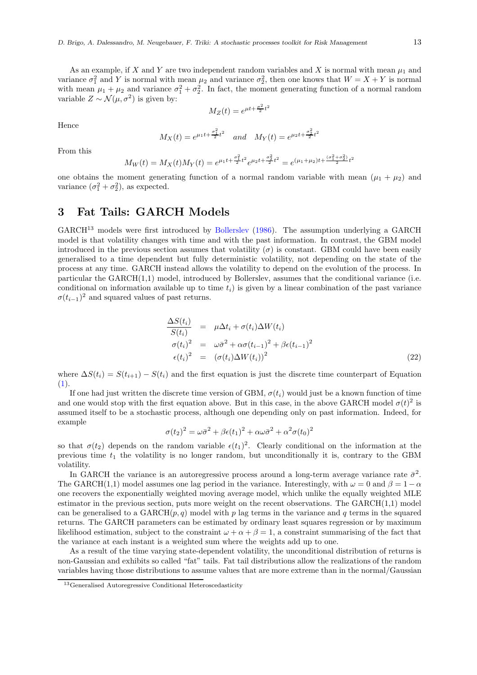$$
M_Z(t) = e^{\mu t + \frac{\sigma^2}{2}t^2}
$$

<span id="page-12-1"></span>Hence

$$
M_X(t) = e^{\mu_1 t + \frac{\sigma_1^2}{2}t^2}
$$
 and  $M_Y(t) = e^{\mu_2 t + \frac{\sigma_2^2}{2}t^2}$ 

From this

$$
M_W(t) = M_X(t)M_Y(t) = e^{\mu_1 t + \frac{\sigma_1^2}{2}t^2}e^{\mu_2 t + \frac{\sigma_2^2}{2}t^2} = e^{(\mu_1 + \mu_2)t + \frac{(\sigma_1^2 + \sigma_2^2)}{2}t^2}
$$

one obtains the moment generating function of a normal random variable with mean  $(\mu_1 + \mu_2)$  and variance  $(\sigma_1^2 + \sigma_2^2)$ , as expected.

# <span id="page-12-0"></span>3 Fat Tails: GARCH Models

 $GARCH<sup>13</sup>$  models were first introduced by [Bollerslev](#page-42-0) [\(1986\)](#page-42-0). The assumption underlying a GARCH model is that volatility changes with time and with the past information. In contrast, the GBM model introduced in the previous section assumes that volatility  $(\sigma)$  is constant. GBM could have been easily generalised to a time dependent but fully deterministic volatility, not depending on the state of the process at any time. GARCH instead allows the volatility to depend on the evolution of the process. In particular the GARCH(1,1) model, introduced by Bollerslev, assumes that the conditional variance (i.e. conditional on information available up to time  $t_i$ ) is given by a linear combination of the past variance  $\sigma(t_{i-1})^2$  and squared values of past returns.

$$
\frac{\Delta S(t_i)}{S(t_i)} = \mu \Delta t_i + \sigma(t_i) \Delta W(t_i)
$$
\n
$$
\sigma(t_i)^2 = \omega \bar{\sigma}^2 + \alpha \sigma(t_{i-1})^2 + \beta \epsilon(t_{i-1})^2
$$
\n
$$
\epsilon(t_i)^2 = (\sigma(t_i) \Delta W(t_i))^2
$$
\n(22)

where  $\Delta S(t_i) = S(t_{i+1}) - S(t_i)$  and the first equation is just the discrete time counterpart of Equation  $(1).$  $(1).$ 

If one had just written the discrete time version of GBM,  $\sigma(t_i)$  would just be a known function of time and one would stop with the first equation above. But in this case, in the above GARCH model  $\sigma(t)^2$  is assumed itself to be a stochastic process, although one depending only on past information. Indeed, for example

$$
\sigma(t_2)^2 = \omega \bar{\sigma}^2 + \beta \epsilon(t_1)^2 + \alpha \omega \bar{\sigma}^2 + \alpha^2 \sigma(t_0)^2
$$

so that  $\sigma(t_2)$  depends on the random variable  $\epsilon(t_1)^2$ . Clearly conditional on the information at the previous time  $t_1$  the volatility is no longer random, but unconditionally it is, contrary to the GBM volatility.

In GARCH the variance is an autoregressive process around a long-term average variance rate  $\bar{\sigma}^2$ . The GARCH(1,1) model assumes one lag period in the variance. Interestingly, with  $\omega = 0$  and  $\beta = 1 - \alpha$ one recovers the exponentially weighted moving average model, which unlike the equally weighted MLE estimator in the previous section, puts more weight on the recent observations. The  $GARCH(1,1)$  model can be generalised to a  $GARCH(p, q)$  model with p lag terms in the variance and q terms in the squared returns. The GARCH parameters can be estimated by ordinary least squares regression or by maximum likelihood estimation, subject to the constraint  $\omega + \alpha + \beta = 1$ , a constraint summarising of the fact that the variance at each instant is a weighted sum where the weights add up to one.

As a result of the time varying state-dependent volatility, the unconditional distribution of returns is non-Gaussian and exhibits so called "fat" tails. Fat tail distributions allow the realizations of the random variables having those distributions to assume values that are more extreme than in the normal/Gaussian

<sup>13</sup>Generalised Autoregressive Conditional Heteroscedasticity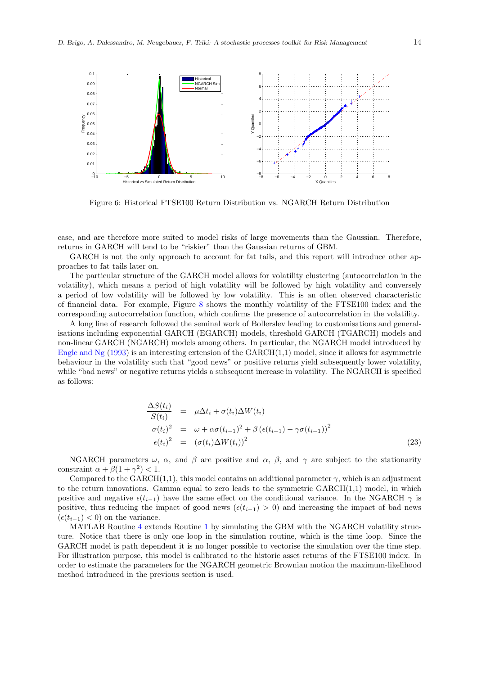<span id="page-13-1"></span>

<span id="page-13-0"></span>Figure 6: Historical FTSE100 Return Distribution vs. NGARCH Return Distribution

case, and are therefore more suited to model risks of large movements than the Gaussian. Therefore, returns in GARCH will tend to be "riskier" than the Gaussian returns of GBM.

GARCH is not the only approach to account for fat tails, and this report will introduce other approaches to fat tails later on.

The particular structure of the GARCH model allows for volatility clustering (autocorrelation in the volatility), which means a period of high volatility will be followed by high volatility and conversely a period of low volatility will be followed by low volatility. This is an often observed characteristic of financial data. For example, Figure [8](#page-15-0) shows the monthly volatility of the FTSE100 index and the corresponding autocorrelation function, which confirms the presence of autocorrelation in the volatility.

A long line of research followed the seminal work of Bollerslev leading to customisations and generalisations including exponential GARCH (EGARCH) models, threshold GARCH (TGARCH) models and non-linear GARCH (NGARCH) models among others. In particular, the NGARCH model introduced by [Engle and Ng](#page-42-1)  $(1993)$  $(1993)$  is an interesting extension of the  $GARCH(1,1)$  model, since it allows for asymmetric behaviour in the volatility such that "good news" or positive returns yield subsequently lower volatility, while "bad news" or negative returns yields a subsequent increase in volatility. The NGARCH is specified as follows:

$$
\frac{\Delta S(t_i)}{S(t_i)} = \mu \Delta t_i + \sigma(t_i) \Delta W(t_i)
$$
\n
$$
\sigma(t_i)^2 = \omega + \alpha \sigma(t_{i-1})^2 + \beta (\epsilon(t_{i-1}) - \gamma \sigma(t_{i-1}))^2
$$
\n
$$
\epsilon(t_i)^2 = (\sigma(t_i) \Delta W(t_i))^2
$$
\n(23)

NGARCH parameters  $\omega$ ,  $\alpha$ , and  $\beta$  are positive and  $\alpha$ ,  $\beta$ , and  $\gamma$  are subject to the stationarity constraint  $\alpha + \beta(1 + \gamma^2) < 1$ .

Compared to the GARCH(1,1), this model contains an additional parameter  $\gamma$ , which is an adjustment to the return innovations. Gamma equal to zero leads to the symmetric GARCH(1,1) model, in which positive and negative  $\epsilon(t_{i-1})$  have the same effect on the conditional variance. In the NGARCH  $\gamma$  is positive, thus reducing the impact of good news  $(\epsilon(t_{i-1}) > 0)$  and increasing the impact of bad news  $(\epsilon(t_{i-1}) < 0)$  on the variance.

MATLAB Routine [4](#page-15-1) extends Routine [1](#page-5-1) by simulating the GBM with the NGARCH volatility structure. Notice that there is only one loop in the simulation routine, which is the time loop. Since the GARCH model is path dependent it is no longer possible to vectorise the simulation over the time step. For illustration purpose, this model is calibrated to the historic asset returns of the FTSE100 index. In order to estimate the parameters for the NGARCH geometric Brownian motion the maximum-likelihood method introduced in the previous section is used.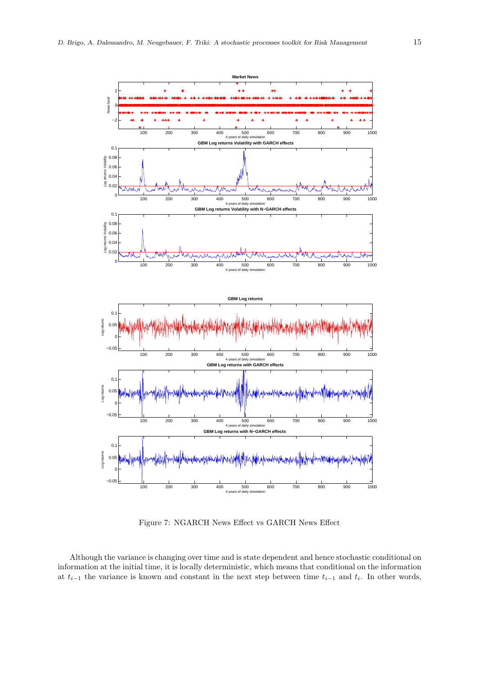

Figure 7: NGARCH News Effect vs GARCH News Effect

Although the variance is changing over time and is state dependent and hence stochastic conditional on information at the initial time, it is locally deterministic, which means that conditional on the information at  $t_{i-1}$  the variance is known and constant in the next step between time  $t_{i-1}$  and  $t_i$ . In other words,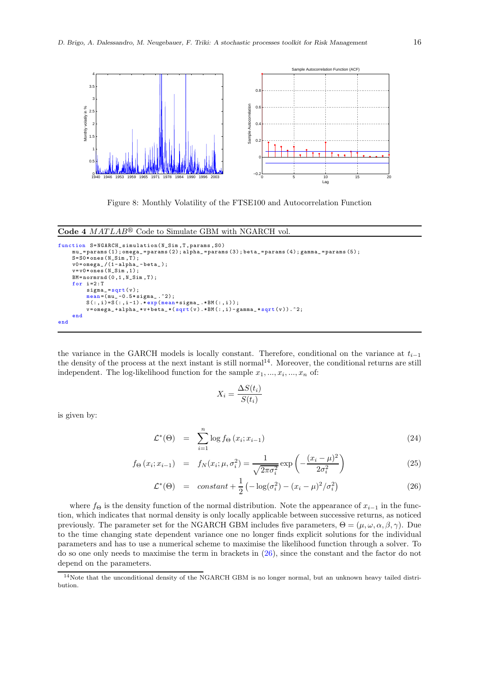

<span id="page-15-0"></span>Figure 8: Monthly Volatility of the FTSE100 and Autocorrelation Function

<span id="page-15-1"></span>Code 4  $MATLAB^{\circledR}$  Code to Simulate GBM with NGARCH vol.

```
function S= NGARCH_simulation( N_Sim ,T , params , S0 )
     mu_= params (1); omega_ = params (2); alpha_ = params (3); beta_ = params (4); gamma_ = params (5);
     S = SO * ones ( N_Sim, T );
     v0 = \texttt{omega} / (1 - \texttt{alpha} - \texttt{beta});
      v= v0 * ones ( N_Sim ,1);
      BM=normrnd(0,1,N_Sim,T);
     for i=2:Tsigna_=\sqrt{sqrt(v)};
              \frac{1}{\text{an}} = (mu_ -0.5* sigma_ .^2);
           S(:, i)=S(:, i-1) . * exp(mean + sigma_ - * BM(:, i));v = \texttt{omega\_*alpha\_*v+beta\_*}(\sqrt{sqrt(v) . * BM}(:,i) - \sqrt{sqrt(v) }).^2;
     end
end
```
the variance in the GARCH models is locally constant. Therefore, conditional on the variance at  $t_{i-1}$ the density of the process at the next instant is still normal<sup>14</sup>. Moreover, the conditional returns are still independent. The log-likelihood function for the sample  $x_1, ..., x_i, ..., x_n$  of:

$$
X_i = \frac{\Delta S(t_i)}{S(t_i)}
$$

is given by:

<span id="page-15-2"></span>
$$
\mathcal{L}^*(\Theta) = \sum_{i=1}^n \log f_{\Theta}(x_i; x_{i-1}) \tag{24}
$$

$$
f_{\Theta}(x_i; x_{i-1}) = f_N(x_i; \mu, \sigma_i^2) = \frac{1}{\sqrt{2\pi\sigma_i^2}} \exp\left(-\frac{(x_i - \mu)^2}{2\sigma_i^2}\right)
$$
(25)

$$
\mathcal{L}^*(\Theta) = constant + \frac{1}{2} \left( -\log(\sigma_i^2) - (x_i - \mu)^2 / \sigma_i^2 \right) \tag{26}
$$

where  $f_{\Theta}$  is the density function of the normal distribution. Note the appearance of  $x_{i-1}$  in the function, which indicates that normal density is only locally applicable between successive returns, as noticed previously. The parameter set for the NGARCH GBM includes five parameters,  $\Theta = (\mu, \omega, \alpha, \beta, \gamma)$ . Due to the time changing state dependent variance one no longer finds explicit solutions for the individual parameters and has to use a numerical scheme to maximise the likelihood function through a solver. To do so one only needs to maximise the term in brackets in [\(26\)](#page-15-2), since the constant and the factor do not depend on the parameters.

<sup>&</sup>lt;sup>14</sup>Note that the unconditional density of the NGARCH GBM is no longer normal, but an unknown heavy tailed distribution.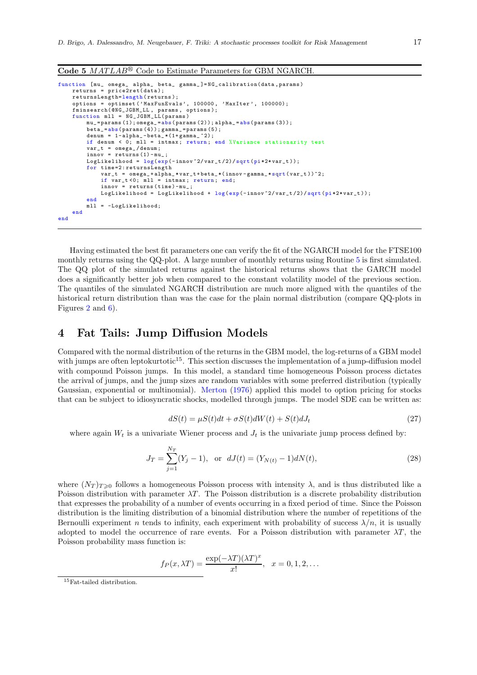<span id="page-16-2"></span><span id="page-16-1"></span>Code 5  $MATLAB^@$  Code to Estimate Parameters for GBM NGARCH

```
function [ mu_ omega_ alpha_ beta_ gamma_ ]= NG_calibration( data , params )
    returns = price2ret( data );
    returnsLength= length ( returns );
    options = optimset ('MaxFunEvals', 100000, 'MaxIter', 100000);
    fminsearch(@NG_JGBM_LL, params, options);
    function mll = NG_JGBM_LL( params )
         mu_ = params (1); omega_ = abs(params(2)); alpha_ = abs(params(3));
         beta_ = abs( params (4)); gamma_ = params (5);
         denum = 1-alpha_-beta_*(1+ gamma_^2);
         if denum \langle 0; mll = intmax; return; end % Variance stationarity test
         var_t = \omega_{\text{mega}} / \text{denum};innov = returns(1) - mu;
         LogLikelihood = log(exp(-innov^2/var_t/2)/sqrt(pi*2*var_t));
         for time =2: returnsLength
              var_t = \text{omega\_t} = \text{omega\_v} + \text{alpha\_t} + \text{beta\_t} (innov-gamma_*sqrt(var_t))^2;
              if var_t < 0; mll = intmax; return; end;
              innov = returns (time)-mu_;
              LogLikelihood = LogLikelihood + log(exp(-innov^2/var_t t/2)/sqrt(pi *2 * var_t));
         end<br>m11 =-LogLikelihood;
    end
end
```
Having estimated the best fit parameters one can verify the fit of the NGARCH model for the FTSE100 monthly returns using the QQ-plot. A large number of monthly returns using Routine [5](#page-16-1) is first simulated. The QQ plot of the simulated returns against the historical returns shows that the GARCH model does a significantly better job when compared to the constant volatility model of the previous section. The quantiles of the simulated NGARCH distribution are much more aligned with the quantiles of the historical return distribution than was the case for the plain normal distribution (compare QQ-plots in Figures [2](#page-6-0) and [6\)](#page-13-0).

## <span id="page-16-0"></span>4 Fat Tails: Jump Diffusion Models

Compared with the normal distribution of the returns in the GBM model, the log-returns of a GBM model with jumps are often leptokurtotic<sup>15</sup>. This section discusses the implementation of a jump-diffusion model with compound Poisson jumps. In this model, a standard time homogeneous Poisson process dictates the arrival of jumps, and the jump sizes are random variables with some preferred distribution (typically Gaussian, exponential or multinomial). [Merton](#page-42-2) [\(1976\)](#page-42-2) applied this model to option pricing for stocks that can be subject to idiosyncratic shocks, modelled through jumps. The model SDE can be written as:

$$
dS(t) = \mu S(t)dt + \sigma S(t)dW(t) + S(t)dJ_t
$$
\n(27)

where again  $W_t$  is a univariate Wiener process and  $J_t$  is the univariate jump process defined by:

$$
J_T = \sum_{j=1}^{N_T} (Y_j - 1), \text{ or } dJ(t) = (Y_{N(t)} - 1)dN(t), \qquad (28)
$$

where  $(N_T)_{T\geq 0}$  follows a homogeneous Poisson process with intensity  $\lambda$ , and is thus distributed like a Poisson distribution with parameter  $\lambda T$ . The Poisson distribution is a discrete probability distribution that expresses the probability of a number of events occurring in a fixed period of time. Since the Poisson distribution is the limiting distribution of a binomial distribution where the number of repetitions of the Bernoulli experiment n tends to infinity, each experiment with probability of success  $\lambda/n$ , it is usually adopted to model the occurrence of rare events. For a Poisson distribution with parameter  $\lambda T$ , the Poisson probability mass function is:

$$
f_P(x, \lambda T) = \frac{\exp(-\lambda T)(\lambda T)^x}{x!}, \quad x = 0, 1, 2, \dots
$$

 $15$ Fat-tailed distribution.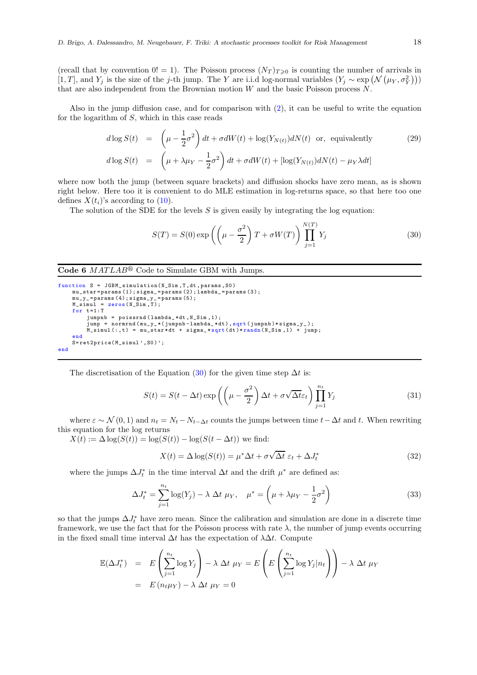(recall that by convention  $0! = 1$ ). The Poisson process  $(N_T)_{T \geq 0}$  is counting the number of arrivals in [1, T], and Y<sub>j</sub> is the size of the j-th jump. The Y are i.i.d log-normal variables  $(Y_j \sim \exp(\mathcal{N}(\mu_Y, \sigma_Y^2)))$ that are also independent from the Brownian motion  $W$  and the basic Poisson process  $N$ .

Also in the jump diffusion case, and for comparison with [\(2\)](#page-4-3), it can be useful to write the equation for the logarithm of  $S$ , which in this case reads

<span id="page-17-2"></span>
$$
d \log S(t) = \left(\mu - \frac{1}{2}\sigma^2\right)dt + \sigma dW(t) + \log(Y_{N(t)})dN(t) \text{ or, equivalently}
$$
\n
$$
d \log S(t) = \left(\mu + \lambda\mu_Y - \frac{1}{2}\sigma^2\right)dt + \sigma dW(t) + \left[\log(Y_{N(t)})dN(t) - \mu_Y\lambda dt\right]
$$
\n(29)

where now both the jump (between square brackets) and diffusion shocks have zero mean, as is shown right below. Here too it is convenient to do MLE estimation in log-returns space, so that here too one defines  $X(t_i)$ 's according to [\(10\)](#page-7-2).

The solution of the SDE for the levels  $S$  is given easily by integrating the log equation:

<span id="page-17-0"></span>
$$
S(T) = S(0) \exp\left(\left(\mu - \frac{\sigma^2}{2}\right)T + \sigma W(T)\right) \prod_{j=1}^{N(T)} Y_j \tag{30}
$$

Code 6  $MATLAB^{\circledR}$  Code to Simulate GBM with Jumps.

```
function S = JGBM_simulation( N_Sim ,T ,dt , params , S0 )
    mu_star = params (1); sigma_ = params (2); lambda_ = params (3);
    {\tt mu_y\_y\_=params} (4); {\tt sigma_y\_=params} (5);
    M\_simul = zeros ( N\_Sim, T );
    for t = 1:Tjumpnb = poissrnd ( lambda_ *dt , N_Sim ,1);
         jump = normrnd (mu_y_*(jumpnb-lambda_*dt), sqrt(jumpnb)*sigma_y_);
         M\_simul (:,t) = mu_star*dt + sigma_*sqrt(dt)*randn(N\_Sim,1) + jump;
     end
    S = ret2price(M_simu', S0);
end
```
The discretisation of the Equation [\(30\)](#page-17-0) for the given time step  $\Delta t$  is:

$$
S(t) = S(t - \Delta t) \exp\left(\left(\mu - \frac{\sigma^2}{2}\right) \Delta t + \sigma \sqrt{\Delta t} \varepsilon_t\right) \prod_{j=1}^{n_t} Y_j
$$
\n(31)

where  $\varepsilon \sim \mathcal{N}(0, 1)$  and  $n_t = N_t - N_{t-\Delta t}$  counts the jumps between time  $t-\Delta t$  and t. When rewriting this equation for the log returns

 $X(t) := \Delta \log(S(t)) = \log(S(t)) - \log(S(t - \Delta t))$  we find:

<span id="page-17-1"></span>
$$
X(t) = \Delta \log(S(t)) = \mu^* \Delta t + \sigma \sqrt{\Delta t} \ \varepsilon_t + \Delta J_t^* \tag{32}
$$

where the jumps  $\Delta J_t^*$  in the time interval  $\Delta t$  and the drift  $\mu^*$  are defined as:

$$
\Delta J_t^* = \sum_{j=1}^{n_t} \log(Y_j) - \lambda \Delta t \mu_Y, \quad \mu^* = \left(\mu + \lambda \mu_Y - \frac{1}{2}\sigma^2\right)
$$
\n(33)

so that the jumps  $\Delta J_t^*$  have zero mean. Since the calibration and simulation are done in a discrete time framework, we use the fact that for the Poisson process with rate  $\lambda$ , the number of jump events occurring in the fixed small time interval  $\Delta t$  has the expectation of  $\lambda \Delta t$ . Compute

$$
\mathbb{E}(\Delta J_t^*) = E\left(\sum_{j=1}^{n_t} \log Y_j\right) - \lambda \Delta t \mu_Y = E\left(E\left(\sum_{j=1}^{n_t} \log Y_j | n_t\right)\right) - \lambda \Delta t \mu_Y
$$
  
=  $E(n_t \mu_Y) - \lambda \Delta t \mu_Y = 0$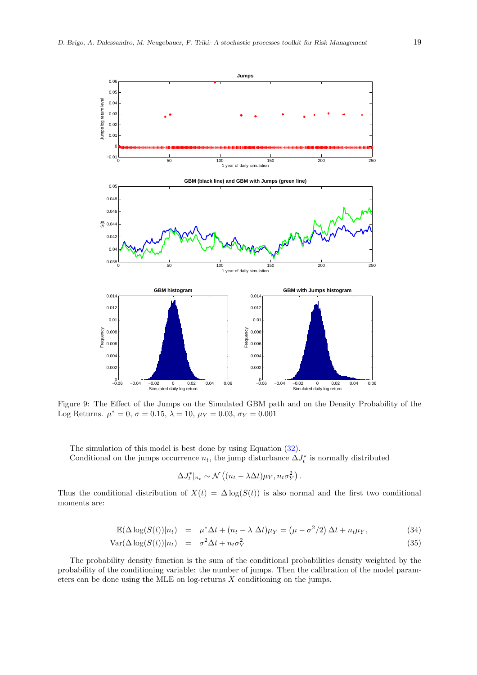

Figure 9: The Effect of the Jumps on the Simulated GBM path and on the Density Probability of the Log Returns.  $\mu^* = 0$ ,  $\sigma = 0.15$ ,  $\lambda = 10$ ,  $\mu_Y = 0.03$ ,  $\sigma_Y = 0.001$ 

The simulation of this model is best done by using Equation [\(32\)](#page-17-1). Conditional on the jumps occurrence  $n_t$ , the jump disturbance  $\Delta J_t^*$  is normally distributed

$$
\Delta J_t^*|_{n_t} \sim \mathcal{N}\left((n_t - \lambda \Delta t)\mu_Y, n_t \sigma_Y^2\right).
$$

Thus the conditional distribution of  $X(t) = \Delta \log(S(t))$  is also normal and the first two conditional moments are:

$$
\mathbb{E}(\Delta \log(S(t))|n_t) = \mu^* \Delta t + (n_t - \lambda \Delta t)\mu_Y = (\mu - \sigma^2/2) \Delta t + n_t \mu_Y, \tag{34}
$$

$$
Var(\Delta \log(S(t))|n_t) = \sigma^2 \Delta t + n_t \sigma_Y^2 \tag{35}
$$

The probability density function is the sum of the conditional probabilities density weighted by the probability of the conditioning variable: the number of jumps. Then the calibration of the model parameters can be done using the MLE on log-returns  $X$  conditioning on the jumps.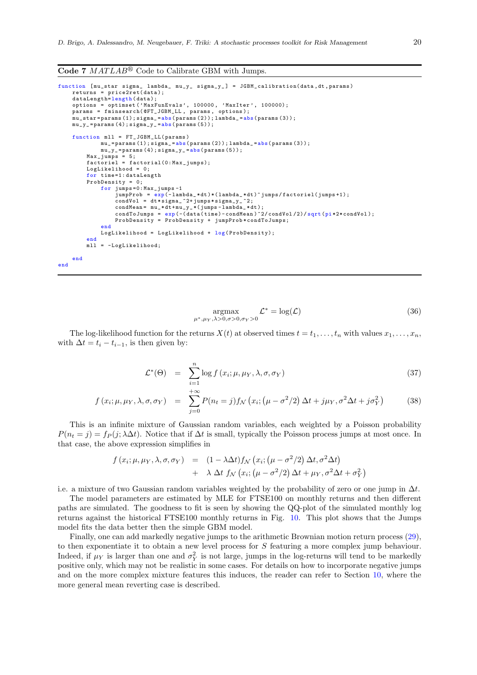### Code 7  $MATLAB^@$  Code to Calibrate GBM with Jumps.

```
function [mu_star sigma_ lambda_ mu_y_ sigma_y_] = JGBM_calibration(data, dt, params)
     return s = price2ret(data);dataLength= length (data);
     options = optimset ( ' MaxFunEvals', 100000 , ' MaxIter ', 100000);
params = fminsearch( @FT_JGBM_LL , params , options );
     mu_star = params (1); sigma_ = abs( params (2)); lambda_ = abs( params (3));
     mu_y = params (4); sigma_y_ = abs (params (5));
     function mll = FT_JGBM_LL( params )
               mu_ = params (1); sigma_ = abs (params (2)); lambda_ = abs (params (3));
               mu_y = params (4); sigma_y_ = abs (params (5));
          Max_jumps = 5;
          factoriel = factorial(0: Max_jumps);
          LogLikelihood = 0;
               time=1: dataLength
          ProbDensity = 0;
               for jumps =0: Max_jumps -1
                     jumpProb = exp(- lambda_ * dt )*( lambda_ * dt )^ jumps / factoriel( jumps +1);
condVol = dt * sigma_ ^2+ jumps * sigma_y_ ^2;
                    condMean = mu_*dt + mu_y * (jumps - lambda_*dt);condToJumps = \exp(-(\text{data}(\text{time}) - \text{condMean})^2/ \text{condVol}/2)/ \text{sqrt}(\text{pi} * 2 * \text{condVol});ProbDensity = ProbDensity + jumpProb * condToJumps;
               end
               LogLikelihood = LogLikelihood + log( ProbDensity);
          end
          mll = - LogLikelihood;
     end
end
```

$$
\underset{\mu^*, \mu_Y, \lambda > 0, \sigma > 0, \sigma_Y > 0}{\text{argmax}} \mathcal{L}^* = \log(\mathcal{L})
$$
\n(36)

The log-likelihood function for the returns  $X(t)$  at observed times  $t = t_1, \ldots, t_n$  with values  $x_1, \ldots, x_n$ , with  $\Delta t = t_i - t_{i-1}$ , is then given by:

$$
\mathcal{L}^*(\Theta) = \sum_{i=1}^n \log f(x_i; \mu, \mu_Y, \lambda, \sigma, \sigma_Y)
$$
\n(37)

$$
f(x_i; \mu, \mu_Y, \lambda, \sigma, \sigma_Y) = \sum_{j=0}^{+\infty} P(n_t = j) f_N(x_i; (\mu - \sigma^2/2) \Delta t + j \mu_Y, \sigma^2 \Delta t + j \sigma_Y^2)
$$
(38)

This is an infinite mixture of Gaussian random variables, each weighted by a Poisson probability  $P(n_t = j) = f_P(j; \lambda \Delta t)$ . Notice that if  $\Delta t$  is small, typically the Poisson process jumps at most once. In that case, the above expression simplifies in

$$
f(x_i; \mu, \mu_Y, \lambda, \sigma, \sigma_Y) = (1 - \lambda \Delta t) f_{\mathcal{N}}(x_i; (\mu - \sigma^2/2) \Delta t, \sigma^2 \Delta t) + \lambda \Delta t f_{\mathcal{N}}(x_i; (\mu - \sigma^2/2) \Delta t + \mu_Y, \sigma^2 \Delta t + \sigma_Y^2)
$$

i.e. a mixture of two Gaussian random variables weighted by the probability of zero or one jump in  $\Delta t$ .

The model parameters are estimated by MLE for FTSE100 on monthly returns and then different paths are simulated. The goodness to fit is seen by showing the QQ-plot of the simulated monthly log returns against the historical FTSE100 monthly returns in Fig. [10.](#page-20-1) This plot shows that the Jumps model fits the data better then the simple GBM model.

Finally, one can add markedly negative jumps to the arithmetic Brownian motion return process [\(29\)](#page-17-2), to then exponentiate it to obtain a new level process for S featuring a more complex jump behaviour. Indeed, if  $\mu_Y$  is larger than one and  $\sigma_Y^2$  is not large, jumps in the log-returns will tend to be markedly positive only, which may not be realistic in some cases. For details on how to incorporate negative jumps and on the more complex mixture features this induces, the reader can refer to Section [10,](#page-35-0) where the more general mean reverting case is described.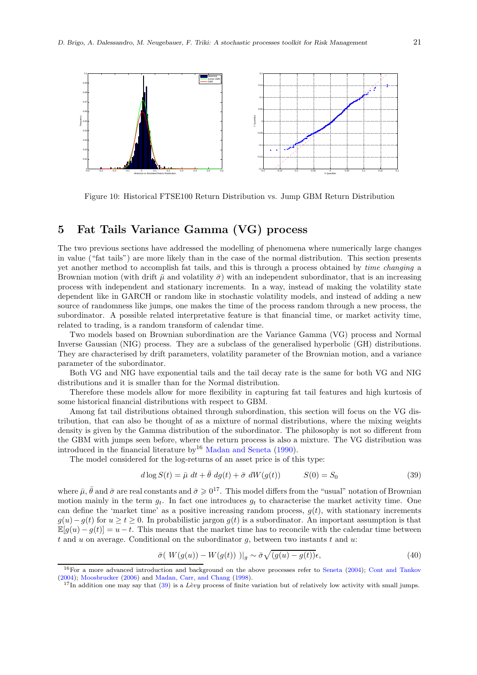<span id="page-20-3"></span>

<span id="page-20-1"></span>Figure 10: Historical FTSE100 Return Distribution vs. Jump GBM Return Distribution

# <span id="page-20-0"></span>5 Fat Tails Variance Gamma (VG) process

The two previous sections have addressed the modelling of phenomena where numerically large changes in value ("fat tails") are more likely than in the case of the normal distribution. This section presents yet another method to accomplish fat tails, and this is through a process obtained by time changing a Brownian motion (with drift  $\bar{\mu}$  and volatility  $\bar{\sigma}$ ) with an independent subordinator, that is an increasing process with independent and stationary increments. In a way, instead of making the volatility state dependent like in GARCH or random like in stochastic volatility models, and instead of adding a new source of randomness like jumps, one makes the time of the process random through a new process, the subordinator. A possible related interpretative feature is that financial time, or market activity time, related to trading, is a random transform of calendar time.

Two models based on Brownian subordination are the Variance Gamma (VG) process and Normal Inverse Gaussian (NIG) process. They are a subclass of the generalised hyperbolic (GH) distributions. They are characterised by drift parameters, volatility parameter of the Brownian motion, and a variance parameter of the subordinator.

Both VG and NIG have exponential tails and the tail decay rate is the same for both VG and NIG distributions and it is smaller than for the Normal distribution.

Therefore these models allow for more flexibility in capturing fat tail features and high kurtosis of some historical financial distributions with respect to GBM.

Among fat tail distributions obtained through subordination, this section will focus on the VG distribution, that can also be thought of as a mixture of normal distributions, where the mixing weights density is given by the Gamma distribution of the subordinator. The philosophy is not so different from the GBM with jumps seen before, where the return process is also a mixture. The VG distribution was introduced in the financial literature by  $16$  [Madan and Seneta](#page-42-3) [\(1990\)](#page-42-3).

The model considered for the log-returns of an asset price is of this type:

<span id="page-20-2"></span>
$$
d \log S(t) = \bar{\mu} \ dt + \bar{\theta} \ dg(t) + \bar{\sigma} \ dW(g(t)) \qquad S(0) = S_0 \tag{39}
$$

where  $\bar{\mu}$ ,  $\bar{\theta}$  and  $\bar{\sigma}$  are real constants and  $\bar{\sigma} \geq 0^{17}$ . This model differs from the "usual" notation of Brownian motion mainly in the term  $g_t$ . In fact one introduces  $g_t$  to characterise the market activity time. One can define the 'market time' as a positive increasing random process,  $g(t)$ , with stationary increments  $g(u)-g(t)$  for  $u \ge t \ge 0$ . In probabilistic jargon  $g(t)$  is a subordinator. An important assumption is that  $\mathbb{E}[g(u) - g(t)] = u - t$ . This means that the market time has to reconcile with the calendar time between t and u on average. Conditional on the subordinator  $g$ , between two instants t and u:

$$
\bar{\sigma}(W(g(u)) - W(g(t)))|_g \sim \bar{\sigma}\sqrt{(g(u) - g(t))}\epsilon,
$$
\n(40)

<sup>&</sup>lt;sup>16</sup>For a more advanced introduction and background on the above processes refer to [Seneta](#page-42-4) [\(2004\)](#page-42-4); [Cont and Tankov](#page-42-5) [\(2004](#page-42-5)); [Moosbrucker](#page-42-6) [\(2006\)](#page-42-6) and [Madan, Carr, and Chang](#page-42-7) [\(1998\)](#page-42-7).

<sup>&</sup>lt;sup>17</sup>In addition one may say that [\(39\)](#page-20-2) is a Levy process of finite variation but of relatively low activity with small jumps.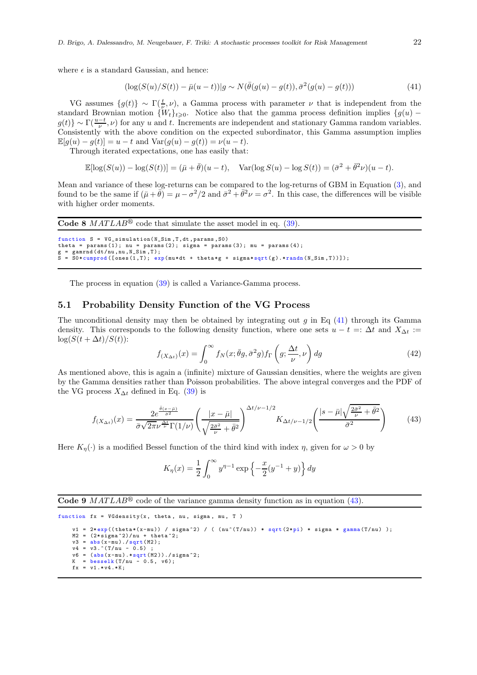where  $\epsilon$  is a standard Gaussian, and hence:

<span id="page-21-0"></span>
$$
(\log(S(u)/S(t)) - \bar{\mu}(u-t))|g \sim N(\bar{\theta}(g(u) - g(t)), \bar{\sigma}^2(g(u) - g(t)))
$$
\n(41)

VG assumes  $\{g(t)\}\sim \Gamma(\frac{t}{\nu},\nu)$ , a Gamma process with parameter  $\nu$  that is independent from the standard Brownian motion  $\{W_t\}_{t\geqslant0}$ . Notice also that the gamma process definition implies  $\{g(u)$  −  $g(t)$ } ~  $\Gamma(\frac{u-t}{\nu}, \nu)$  for any u and t. Increments are independent and stationary Gamma random variables. Consistently with the above condition on the expected subordinator, this Gamma assumption implies  $\mathbb{E}[g(u) - g(t)] = u - t$  and  $\text{Var}(g(u) - g(t)) = \nu(u - t)$ .

Through iterated expectations, one has easily that:

$$
\mathbb{E}[\log(S(u)) - \log(S(t))] = (\bar{\mu} + \bar{\theta})(u - t), \quad \text{Var}(\log S(u) - \log S(t)) = (\bar{\sigma}^2 + \bar{\theta}^2 \nu)(u - t).
$$

Mean and variance of these log-returns can be compared to the log-returns of GBM in Equation [\(3\)](#page-4-1), and found to be the same if  $(\bar{\mu} + \bar{\theta}) = \mu - \sigma^2/2$  and  $\bar{\sigma}^2 + \bar{\theta}^2 \nu = \sigma^2$ . In this case, the differences will be visible with higher order moments.

Code 8  $MATLAB^{\circledR}$  code that simulate the asset model in eq. [\(39\)](#page-20-2).

```
function S = VG_simulation( N_Sim ,T ,dt , params , S0 )
theta = params (1); nu = params (2); sigma = params (3); mu = params (4);
   = gamrnd (dt/nu,nu, N_Sim, T);
S = SO * \text{cumprod}((\text{loss}(1, T)); \exp(\text{mut}*dt + \text{theta}*g + \text{sigma}*sqrt(g).* \text{randn}(N\_Sim, T)))));
```
The process in equation [\(39\)](#page-20-2) is called a Variance-Gamma process.

#### 5.1 Probability Density Function of the VG Process

The unconditional density may then be obtained by integrating out  $g$  in Eq [\(41\)](#page-21-0) through its Gamma density. This corresponds to the following density function, where one sets  $u - t =: \Delta t$  and  $X_{\Delta t} :=$  $\log(S(t+\Delta t)/S(t))$ :

$$
f_{(X_{\Delta t})}(x) = \int_0^\infty f_N(x; \bar{\theta}g, \bar{\sigma}^2 g) f_\Gamma\left(g; \frac{\Delta t}{\nu}, \nu\right) dg \tag{42}
$$

As mentioned above, this is again a (infinite) mixture of Gaussian densities, where the weights are given by the Gamma densities rather than Poisson probabilities. The above integral converges and the PDF of the VG process  $X_{\Delta t}$  defined in Eq. [\(39\)](#page-20-2) is

<span id="page-21-1"></span>
$$
f_{(X_{\Delta t})}(x) = \frac{2e^{\frac{\bar{\theta}(x-\bar{\mu})}{\bar{\sigma}^2}}}{\bar{\sigma}\sqrt{2\pi\nu^{\frac{\Delta t}{\nu}}}\Gamma(1/\nu)} \left(\frac{|x-\bar{\mu}|}{\sqrt{\frac{2\bar{\sigma}^2}{\nu}+\bar{\theta}^2}}\right)^{\Delta t/\nu - 1/2} K_{\Delta t/\nu - 1/2} \left(\frac{|s-\bar{\mu}|\sqrt{\frac{2\bar{\sigma}^2}{\nu}+\bar{\theta}^2}}{\bar{\sigma}^2}\right)
$$
(43)

Here  $K_{\eta}(\cdot)$  is a modified Bessel function of the third kind with index  $\eta$ , given for  $\omega > 0$  by

$$
K_{\eta}(x) = \frac{1}{2} \int_0^{\infty} y^{\eta - 1} \exp \left\{-\frac{x}{2}(y^{-1} + y)\right\} dy
$$

**Code 9** MATLAB<sup>®</sup> code of the variance gamma density function as in equation [\(43\)](#page-21-1).

```
function fx = VGdensity(x, theta, nu, sigma, mu, T)v1 = 2*exp((theta*(x-mu)) / sigma^2) / ( (nu^(T/nu)) * sqrt(2*pi) * sigma * gamma(T/nu) );<br>M2 = (2*sigma^2)/nu + theta^2;
      v3 = abs(x-mu)./sqrt(M2);<br>v4 = v3.^(T/nu - 0.5) ;
     v6 = (abs(x-mu) . * sqrt(M2)) . / sigma ^2;K = <u>besselk</u>(T/nu - 0.5, v6);<br>fx = v1.*v4.*K;
```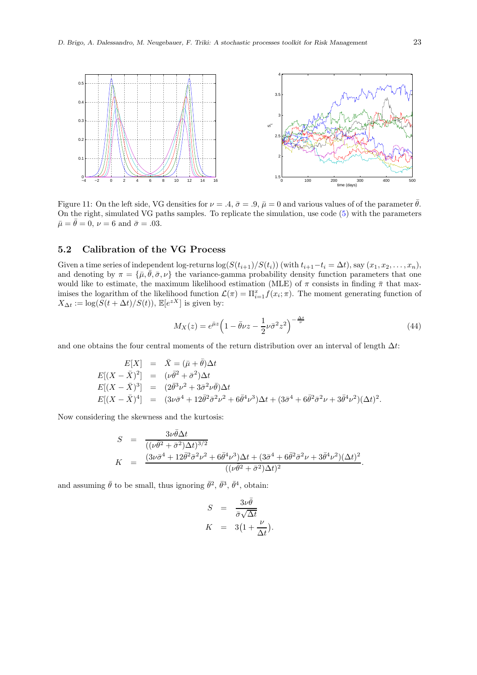

Figure 11: On the left side, VG densities for  $\nu = .4$ ,  $\bar{\sigma} = .9$ ,  $\bar{\mu} = 0$  and various values of of the parameter  $\bar{\theta}$ . On the right, simulated VG paths samples. To replicate the simulation, use code [\(5\)](#page-21-0) with the parameters  $\bar{\mu} = \bar{\theta} = 0$ ,  $\nu = 6$  and  $\bar{\sigma} = .03$ .

#### 5.2 Calibration of the VG Process

Given a time series of independent log-returns  $\log(S(t_{i+1})/S(t_i))$  (with  $t_{i+1}-t_i = \Delta t$ ), say  $(x_1, x_2, \ldots, x_n)$ , and denoting by  $\pi = \{\bar{\mu}, \bar{\theta}, \bar{\sigma}, \nu\}$  the variance-gamma probability density function parameters that one would like to estimate, the maximum likelihood estimation (MLE) of  $\pi$  consists in finding  $\bar{\pi}$  that maximises the logarithm of the likelihood function  $\mathcal{L}(\pi) = \prod_{i=1}^x f(x_i; \pi)$ . The moment generating function of  $X_{\Delta t} := \log(\tilde{S}(t + \Delta t)/S(t)), \mathbb{E}[e^{zX}]$  is given by:

$$
M_X(z) = e^{\bar{\mu}z} \left( 1 - \bar{\theta}\nu z - \frac{1}{2}\nu \bar{\sigma}^2 z^2 \right)^{-\frac{\Delta t}{\nu}}
$$
\n
$$
\tag{44}
$$

and one obtains the four central moments of the return distribution over an interval of length  $\Delta t$ :

$$
E[X] = \bar{X} = (\bar{\mu} + \bar{\theta})\Delta t
$$
  
\n
$$
E[(X - \bar{X})^2] = (\nu \bar{\theta}^2 + \bar{\sigma}^2)\Delta t
$$
  
\n
$$
E[(X - \bar{X})^3] = (2\bar{\theta}^3 \nu^2 + 3\bar{\sigma}^2 \nu \bar{\theta})\Delta t
$$
  
\n
$$
E[(X - \bar{X})^4] = (3\nu \bar{\sigma}^4 + 12\bar{\theta}^2 \bar{\sigma}^2 \nu^2 + 6\bar{\theta}^4 \nu^3)\Delta t + (3\bar{\sigma}^4 + 6\bar{\theta}^2 \bar{\sigma}^2 \nu + 3\bar{\theta}^4 \nu^2)(\Delta t)^2.
$$

Now considering the skewness and the kurtosis:

$$
S = \frac{3\nu\bar{\theta}\Delta t}{((\nu\bar{\theta}^2 + \bar{\sigma}^2)\Delta t)^{3/2}}
$$
  
\n
$$
K = \frac{(3\nu\bar{\sigma}^4 + 12\bar{\theta}^2\bar{\sigma}^2\nu^2 + 6\bar{\theta}^4\nu^3)\Delta t + (3\bar{\sigma}^4 + 6\bar{\theta}^2\bar{\sigma}^2\nu + 3\bar{\theta}^4\nu^2)(\Delta t)^2}{((\nu\bar{\theta}^2 + \bar{\sigma}^2)\Delta t)^2}.
$$

and assuming  $\bar{\theta}$  to be small, thus ignoring  $\bar{\theta}^2$ ,  $\bar{\theta}^3$ ,  $\bar{\theta}^4$ , obtain:

$$
S = \frac{3\nu\bar{\theta}}{\bar{\sigma}\sqrt{\Delta t}}
$$
  

$$
K = 3(1 + \frac{\nu}{\Delta t}).
$$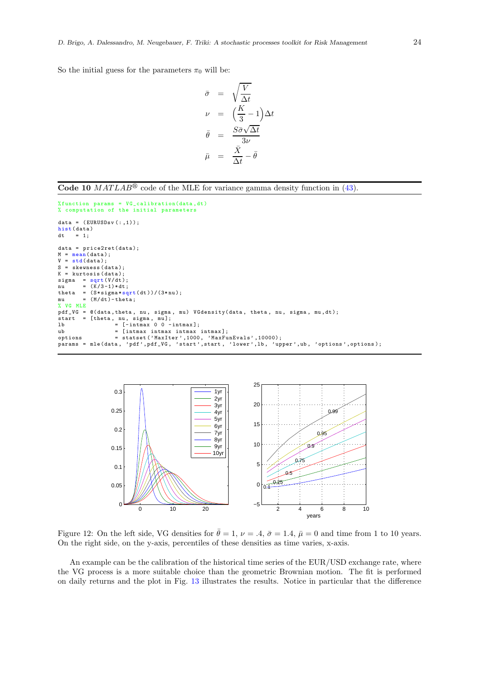So the initial guess for the parameters  $\pi_0$  will be:

$$
\begin{array}{rcl}\n\bar{\sigma} & = & \sqrt{\frac{V}{\Delta t}} \\
\nu & = & \left(\frac{K}{3} - 1\right) \Delta t \\
\bar{\theta} & = & \frac{S\bar{\sigma}\sqrt{\Delta t}}{3\nu} \\
\bar{\mu} & = & \frac{\bar{X}}{\Delta t} - \bar{\theta}\n\end{array}
$$

Code 10  $MATLAB^{\circledR}$  code of the MLE for variance gamma density function in [\(43\)](#page-21-1).

```
% function params = VG_calibration( data , dt )
% computation of the initial parameters
data = (EURUSDsv(:,1));hist(data)<br>
dt = 1:
      = 1;
data = price2ret(data);<br>M = <u>mean</u>(data);
V = std(data);S = skewness (data);
K = kurtosis (data);
sigma = sqrt(V/dt);
nu = (K/3-1)*dt;<br>theta = (S*sigma*sg)theta = (S*sigma*sqrt(dt))/(3*nu);
mu = (M/dt)-theta;
% VG MLE
pdf_VG = @(data, theta, nu, sigma, mu) VGdensity(data, theta, nu, sigma, mu, dt);<br>start = [theta, nu, sigma, mu];
start = [ theta , nu , sigma , mu ];
1b = [-intmax 0 0 -intmax];
ub = \begin{bmatrix} -1 & -1 & -1 & -1 & -1 \\ -1 & -1 & -1 & -1 \\ 1 & -1 & -1 & -1 \end{bmatrix};
options = statset ( ' MaxIter ' ,1000 , ' MaxFunEvals' ,10000);
params = mle(data, 'pdf', pdf_VG, 'start', start, 'lower', lb, 'upper', ub, 'options', options);
```


<span id="page-23-0"></span>Figure 12: On the left side, VG densities for  $\bar{\theta} = 1$ ,  $\nu = .4$ ,  $\bar{\sigma} = 1.4$ ,  $\bar{\mu} = 0$  and time from 1 to 10 years. On the right side, on the y-axis, percentiles of these densities as time varies, x-axis.

An example can be the calibration of the historical time series of the EUR/USD exchange rate, where the VG process is a more suitable choice than the geometric Brownian motion. The fit is performed on daily returns and the plot in Fig. [13](#page-25-0) illustrates the results. Notice in particular that the difference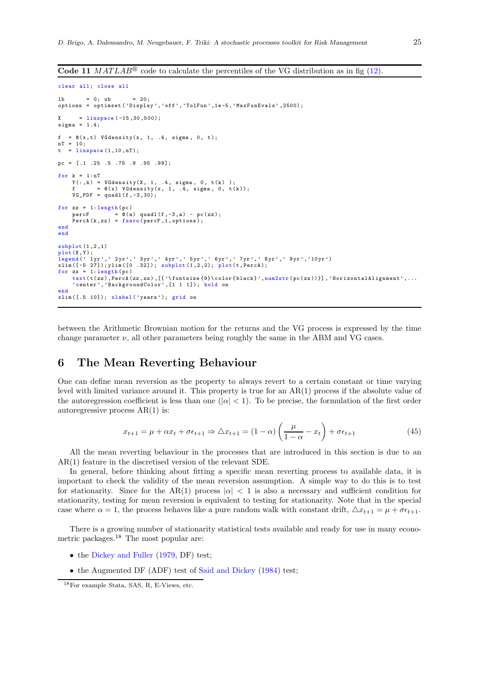<span id="page-24-2"></span>Code 11  $MATLAB^{\circledR}$  code to calculate the percentiles of the VG distribution as in fig [\(12\)](#page-23-0).

```
clear all; close all
1b = 0; ub = 20;options = optimset ( ' Display ' ,'off ',' TolFun ' ,1e -5 , ' MaxFunEvals' ,2500);
X = \text{linspace} (-15, 30, 500);sigma = 1.4;
 = 0(x, t) VG density(x, 1, .4, sigma, 0, t);nT = 10;
t = 1inspace (1, 10, nT);
pc = [.1 .25 .5 .75 .9 .95 .99];
for k = 1:nTY(:,k) = VGdensity(X, 1, .4, sigma, 0, t(k));
            = 0(x) VGdensity(x, 1, .4, sigma, 0, t(k));
    VG_PDF = \text{quad1} (f, -3, 30);for zz = 1: length(pc)\texttt{percF} = \texttt{@}(a) quadl(f, -3, a) - \texttt{pc}(zz);
    \text{PercA}(k, zz) = \text{fzero}(\text{percF}, 1, \text{options});end
end
subplot(1,2,1)plot(X, Y):
|<br>| legend (' 1yr',' 2yr',' 3yr',' 4yr',' 5yr',' 6yr',' 7yr',' 8yr',' 9yr','10yr')
x \lim ([-5 \ 27]); ylim([0 \ 32]); subplot(1,2,2); plot(t, PercA);
for zz = 1: length(pc)text(t(zz), PercA(zz,zz),[{'\fontsize{9}\color{black}', num2str(pc(zz))}],'HorizontalAlignment',...
     'center','BackgroundColor',[1 1 1]); hold on
end
xlim ([.5 10]); xlabel ('years'); grid on
```
between the Arithmetic Brownian motion for the returns and the VG process is expressed by the time change parameter  $\nu$ , all other parameters being roughly the same in the ABM and VG cases.

# <span id="page-24-0"></span>6 The Mean Reverting Behaviour

One can define mean reversion as the property to always revert to a certain constant or time varying level with limited variance around it. This property is true for an AR(1) process if the absolute value of the autoregression coefficient is less than one ( $|\alpha| < 1$ ). To be precise, the formulation of the first order autoregressive process AR(1) is:

<span id="page-24-1"></span>
$$
x_{t+1} = \mu + \alpha x_t + \sigma \epsilon_{t+1} \Rightarrow \Delta x_{t+1} = (1 - \alpha) \left( \frac{\mu}{1 - \alpha} - x_t \right) + \sigma \epsilon_{t+1} \tag{45}
$$

All the mean reverting behaviour in the processes that are introduced in this section is due to an AR(1) feature in the discretised version of the relevant SDE.

In general, before thinking about fitting a specific mean reverting process to available data, it is important to check the validity of the mean reversion assumption. A simple way to do this is to test for stationarity. Since for the AR(1) process  $|\alpha| < 1$  is also a necessary and sufficient condition for stationarity, testing for mean reversion is equivalent to testing for stationarity. Note that in the special case where  $\alpha = 1$ , the process behaves like a pure random walk with constant drift,  $\Delta x_{t+1} = \mu + \sigma \epsilon_{t+1}$ .

There is a growing number of stationarity statistical tests available and ready for use in many econometric packages.<sup>18</sup> The most popular are:

- the [Dickey and Fuller](#page-42-8) [\(1979](#page-42-8), DF) test;
- the Augmented DF (ADF) test of [Said and Dickey](#page-42-9) [\(1984](#page-42-9)) test;

<sup>18</sup>For example Stata, SAS, R, E-Views, etc.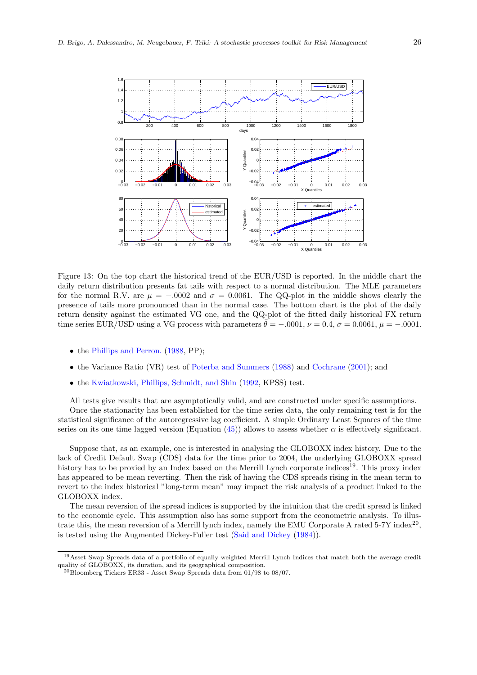<span id="page-25-1"></span>

<span id="page-25-0"></span>Figure 13: On the top chart the historical trend of the EUR/USD is reported. In the middle chart the daily return distribution presents fat tails with respect to a normal distribution. The MLE parameters for the normal R.V. are  $\mu = -.0002$  and  $\sigma = 0.0061$ . The QQ-plot in the middle shows clearly the presence of tails more pronounced than in the normal case. The bottom chart is the plot of the daily return density against the estimated VG one, and the QQ-plot of the fitted daily historical FX return time series EUR/USD using a VG process with parameters  $\bar{\theta} = -.0001$ ,  $\nu = 0.4$ ,  $\bar{\sigma} = 0.0061$ ,  $\bar{\mu} = -.0001$ .

- the [Phillips and Perron.](#page-42-10) [\(1988,](#page-42-10) PP):
- the Variance Ratio (VR) test of [Poterba and Summers](#page-42-11) [\(1988](#page-42-11)) and [Cochrane](#page-42-12) [\(2001\)](#page-42-12); and
- the [Kwiatkowski, Phillips, Schmidt, and Shin](#page-42-13) [\(1992](#page-42-13), KPSS) test.

All tests give results that are asymptotically valid, and are constructed under specific assumptions.

Once the stationarity has been established for the time series data, the only remaining test is for the statistical significance of the autoregressive lag coefficient. A simple Ordinary Least Squares of the time series on its one time lagged version (Equation [\(45\)](#page-24-1)) allows to assess whether  $\alpha$  is effectively significant.

Suppose that, as an example, one is interested in analysing the GLOBOXX index history. Due to the lack of Credit Default Swap (CDS) data for the time prior to 2004, the underlying GLOBOXX spread history has to be proxied by an Index based on the Merrill Lynch corporate indices<sup>19</sup>. This proxy index has appeared to be mean reverting. Then the risk of having the CDS spreads rising in the mean term to revert to the index historical "long-term mean" may impact the risk analysis of a product linked to the GLOBOXX index.

The mean reversion of the spread indices is supported by the intuition that the credit spread is linked to the economic cycle. This assumption also has some support from the econometric analysis. To illustrate this, the mean reversion of a Merrill lynch index, namely the EMU Corporate A rated 5-7Y index<sup>20</sup>, is tested using the Augmented Dickey-Fuller test [\(Said and Dickey](#page-42-9) [\(1984\)](#page-42-9)).

<sup>19</sup>Asset Swap Spreads data of a portfolio of equally weighted Merrill Lynch Indices that match both the average credit quality of GLOBOXX, its duration, and its geographical composition.

<sup>20</sup>Bloomberg Tickers ER33 - Asset Swap Spreads data from 01/98 to 08/07.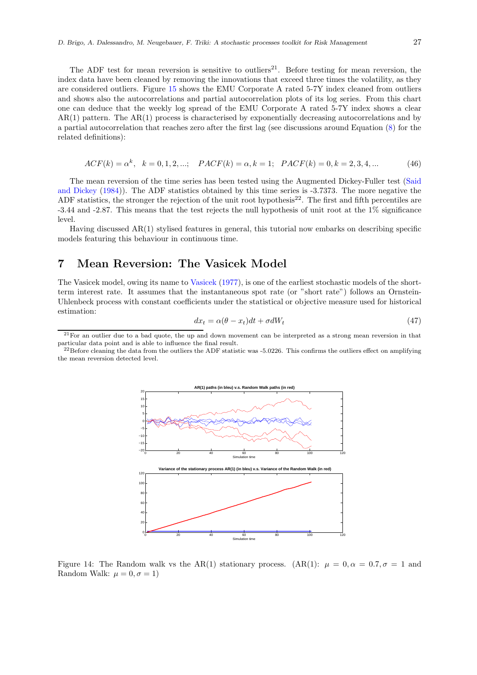<span id="page-26-2"></span>The ADF test for mean reversion is sensitive to outliers<sup>21</sup>. Before testing for mean reversion, the index data have been cleaned by removing the innovations that exceed three times the volatility, as they are considered outliers. Figure [15](#page-27-0) shows the EMU Corporate A rated 5-7Y index cleaned from outliers and shows also the autocorrelations and partial autocorrelation plots of its log series. From this chart one can deduce that the weekly log spread of the EMU Corporate A rated 5-7Y index shows a clear  $AR(1)$  pattern. The  $AR(1)$  process is characterised by exponentially decreasing autocorrelations and by a partial autocorrelation that reaches zero after the first lag (see discussions around Equation [\(8\)](#page-6-1) for the related definitions):

$$
ACF(k) = \alpha^{k}, \quad k = 0, 1, 2, \dots; \quad PACF(k) = \alpha, k = 1; \quad PACF(k) = 0, k = 2, 3, 4, \dots
$$
 (46)

The me[an reversion of the time series has been tested using the Augmented Dickey-Fuller test \(](#page-42-9)Said and Dickey [\(1984](#page-42-9))). The ADF statistics obtained by this time series is -3.7373. The more negative the ADF statistics, the stronger the rejection of the unit root hypothesis $2^2$ . The first and fifth percentiles are -3.44 and -2.87. This means that the test rejects the null hypothesis of unit root at the 1% significance level.

Having discussed AR(1) stylised features in general, this tutorial now embarks on describing specific models featuring this behaviour in continuous time.

# <span id="page-26-0"></span>7 Mean Reversion: The Vasicek Model

The Vasicek model, owing its name to [Vasicek](#page-42-14) [\(1977\)](#page-42-14), is one of the earliest stochastic models of the shortterm interest rate. It assumes that the instantaneous spot rate (or "short rate") follows an Ornstein-Uhlenbeck process with constant coefficients under the statistical or objective measure used for historical estimation:

<span id="page-26-1"></span>
$$
dx_t = \alpha(\theta - x_t)dt + \sigma dW_t
$$
\n(47)

 $^{22}$ Before cleaning the data from the outliers the ADF statistic was -5.0226. This confirms the outliers effect on amplifying the mean reversion detected level.



Figure 14: The Random walk vs the AR(1) stationary process. (AR(1):  $\mu = 0, \alpha = 0.7, \sigma = 1$  and Random Walk:  $\mu = 0, \sigma = 1$ )

 $21$  For an outlier due to a bad quote, the up and down movement can be interpreted as a strong mean reversion in that particular data point and is able to influence the final result.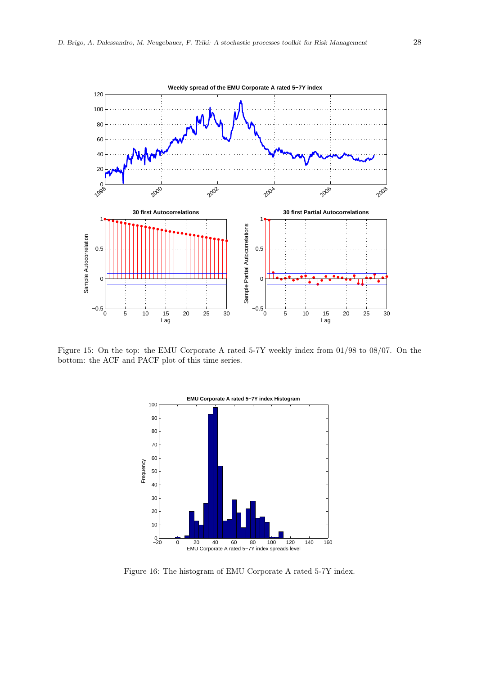

<span id="page-27-0"></span>Figure 15: On the top: the EMU Corporate A rated 5-7Y weekly index from 01/98 to 08/07. On the bottom: the ACF and PACF plot of this time series.



Figure 16: The histogram of EMU Corporate A rated 5-7Y index.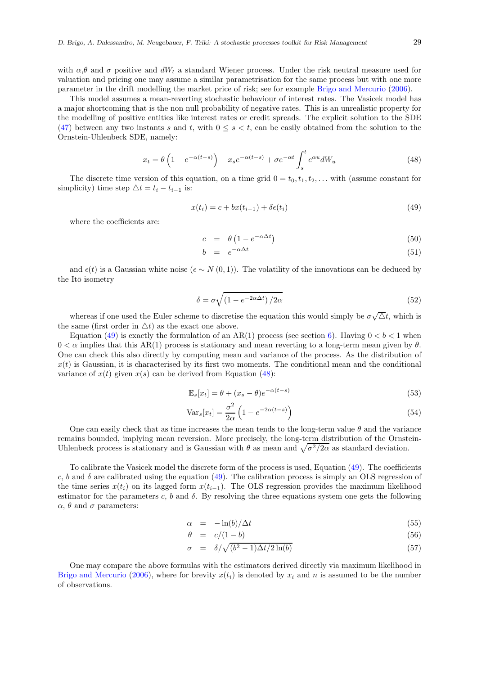<span id="page-28-3"></span>with  $\alpha, \theta$  and  $\sigma$  positive and  $dW_t$  a standard Wiener process. Under the risk neutral measure used for valuation and pricing one may assume a similar parametrisation for the same process but with one more parameter in the drift modelling the market price of risk; see for example [Brigo and Mercurio](#page-42-15) [\(2006](#page-42-15)).

This model assumes a mean-reverting stochastic behaviour of interest rates. The Vasicek model has a major shortcoming that is the non null probability of negative rates. This is an unrealistic property for the modelling of positive entities like interest rates or credit spreads. The explicit solution to the SDE [\(47\)](#page-26-1) between any two instants s and t, with  $0 \leq s \leq t$ , can be easily obtained from the solution to the Ornstein-Uhlenbeck SDE, namely:

<span id="page-28-1"></span>
$$
x_t = \theta \left( 1 - e^{-\alpha(t-s)} \right) + x_s e^{-\alpha(t-s)} + \sigma e^{-\alpha t} \int_s^t e^{\alpha u} dW_u \tag{48}
$$

The discrete time version of this equation, on a time grid  $0 = t_0, t_1, t_2, \ldots$  with (assume constant for simplicity) time step  $\Delta t = t_i - t_{i-1}$  is:

<span id="page-28-0"></span>
$$
x(t_i) = c + bx(t_{i-1}) + \delta\epsilon(t_i)
$$
\n
$$
(49)
$$

where the coefficients are:

$$
c = \theta \left( 1 - e^{-\alpha \Delta t} \right) \tag{50}
$$

$$
b = e^{-\alpha \Delta t} \tag{51}
$$

and  $\epsilon(t)$  is a Gaussian white noise  $(\epsilon \sim N(0, 1))$ . The volatility of the innovations can be deduced by the Itō isometry

$$
\delta = \sigma \sqrt{\left(1 - e^{-2\alpha \Delta t}\right) / 2\alpha} \tag{52}
$$

whereas if one used the Euler scheme to discretise the equation this would simply be  $\sigma\sqrt{\Delta}t$ , which is the same (first order in  $\Delta t$ ) as the exact one above.

Equation [\(49\)](#page-28-0) is exactly the formulation of an AR(1) process (see section [6\)](#page-24-0). Having  $0 < b < 1$  when  $0 < \alpha$  implies that this AR(1) process is stationary and mean reverting to a long-term mean given by  $\theta$ . One can check this also directly by computing mean and variance of the process. As the distribution of  $x(t)$  is Gaussian, it is characterised by its first two moments. The conditional mean and the conditional variance of  $x(t)$  given  $x(s)$  can be derived from Equation [\(48\)](#page-28-1):

$$
\mathbb{E}_s[x_t] = \theta + (x_s - \theta)e^{-\alpha(t-s)}\tag{53}
$$

$$
\text{Var}_s[x_t] = \frac{\sigma^2}{2\alpha} \left( 1 - e^{-2\alpha(t-s)} \right) \tag{54}
$$

One can easily check that as time increases the mean tends to the long-term value  $\theta$  and the variance remains bounded, implying mean reversion. More precisely, the long-term distribution of the Ornstein-Uhlenbeck process is stationary and is Gaussian with  $\theta$  as mean and  $\sqrt{\sigma^2/2\alpha}$  as standard deviation.

To calibrate the Vasicek model the discrete form of the process is used, Equation [\(49\)](#page-28-0). The coefficients c, b and  $\delta$  are calibrated using the equation [\(49\)](#page-28-0). The calibration process is simply an OLS regression of the time series  $x(t_i)$  on its lagged form  $x(t_{i-1})$ . The OLS regression provides the maximum likelihood estimator for the parameters c, b and  $\delta$ . By resolving the three equations system one gets the following  $\alpha$ ,  $\theta$  and  $\sigma$  parameters:

<span id="page-28-2"></span>
$$
\alpha = -\ln(b)/\Delta t \tag{55}
$$

$$
\theta = c/(1-b) \tag{56}
$$

$$
\sigma = \delta / \sqrt{(b^2 - 1)\Delta t / 2\ln(b)} \tag{57}
$$

One may compare the above formulas with the estimators derived directly via maximum likelihood in [Brigo and Mercurio](#page-42-15) [\(2006\)](#page-42-15), where for brevity  $x(t_i)$  is denoted by  $x_i$  and n is assumed to be the number of observations.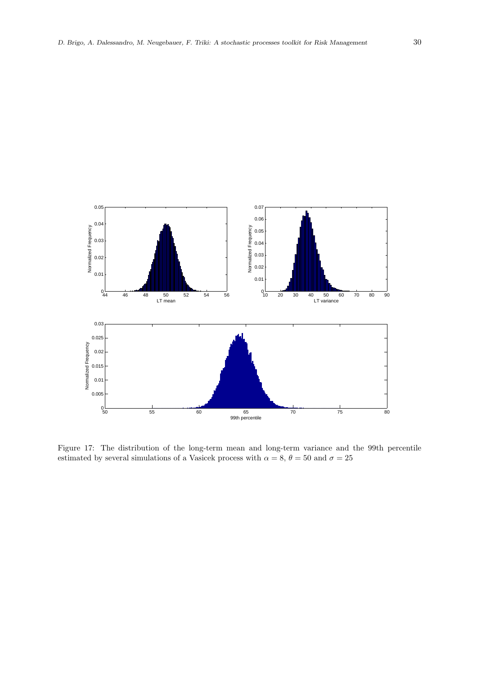

Figure 17: The distribution of the long-term mean and long-term variance and the 99th percentile estimated by several simulations of a Vasicek process with  $\alpha = 8, \theta = 50$  and  $\sigma = 25$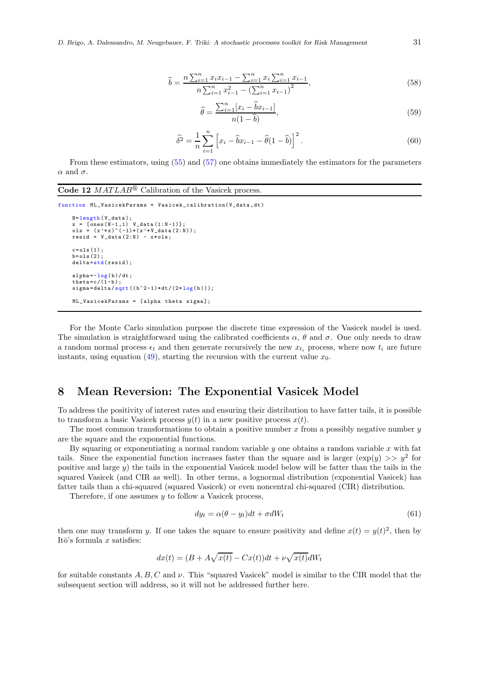$$
\widehat{b} = \frac{n \sum_{i=1}^{n} x_i x_{i-1} - \sum_{i=1}^{n} x_i \sum_{i=1}^{n} x_{i-1}}{n \sum_{i=1}^{n} x_{i-1}^2 - \left(\sum_{i=1}^{n} x_{i-1}\right)^2},\tag{58}
$$

$$
\widehat{\theta} = \frac{\sum_{i=1}^{n} [x_i - \widehat{b}x_{i-1}]}{n(1 - \widehat{b})},\tag{59}
$$

$$
\widehat{\delta}^2 = \frac{1}{n} \sum_{i=1}^n \left[ x_i - \widehat{b}x_{i-1} - \widehat{\theta}(1-\widehat{b}) \right]^2.
$$
\n(60)

From these estimators, using [\(55\)](#page-28-2) and [\(57\)](#page-28-2) one obtains immediately the estimators for the parameters α and σ.

#### Code 12  $MATLAB^{\circledR}$  Calibration of the Vasicek process.

```
function ML_VasicekParams = Vasicek_calibration( V_data , dt )
```

```
N= length (V_data);
x = [\overline{\text{ones}(N-1,1)} \ \overline{V}\_data(1:N-1)];
ols = (x' * x) (-1) * (x' * V_data (2:N));resid = V_data (2:N) - x*ols;c = ols(1);b = 01s(2);delta=std(resid);
alpha = -log(b)/dt;
theta=c/(1-b):
signa = delta / sqrt((b^2 - 1)*dt / (2 * log(b)));
ML_VasicekParams = [ alpha theta sigma ];
```
For the Monte Carlo simulation purpose the discrete time expression of the Vasicek model is used. The simulation is straightforward using the calibrated coefficients  $\alpha$ ,  $\theta$  and  $\sigma$ . One only needs to draw a random normal process  $\epsilon_t$  and then generate recursively the new  $x_{t_i}$  process, where now  $t_i$  are future instants, using equation [\(49\)](#page-28-0), starting the recursion with the current value  $x_0$ .

### <span id="page-30-0"></span>8 Mean Reversion: The Exponential Vasicek Model

To address the positivity of interest rates and ensuring their distribution to have fatter tails, it is possible to transform a basic Vasicek process  $y(t)$  in a new positive process  $x(t)$ .

The most common transformations to obtain a positive number x from a possibly negative number  $y$ are the square and the exponential functions.

By squaring or exponentiating a normal random variable  $y$  one obtains a random variable  $x$  with fat tails. Since the exponential function increases faster than the square and is larger  $(\exp(y) >> y^2$  for positive and large  $y$ ) the tails in the exponential Vasicek model below will be fatter than the tails in the squared Vasicek (and CIR as well). In other terms, a lognormal distribution (exponential Vasicek) has fatter tails than a chi-squared (squared Vasicek) or even noncentral chi-squared (CIR) distribution.

Therefore, if one assumes  $y$  to follow a Vasicek process,

$$
dy_t = \alpha(\theta - y_t)dt + \sigma dW_t \tag{61}
$$

then one may transform y. If one takes the square to ensure positivity and define  $x(t) = y(t)^2$ , then by It<sub>o</sub>'s formula x satisfies:

$$
dx(t) = (B + A\sqrt{x(t)} - Cx(t))dt + \nu\sqrt{x(t)}dW_t
$$

for suitable constants  $A, B, C$  and  $\nu$ . This "squared Vasicek" model is similar to the CIR model that the subsequent section will address, so it will not be addressed further here.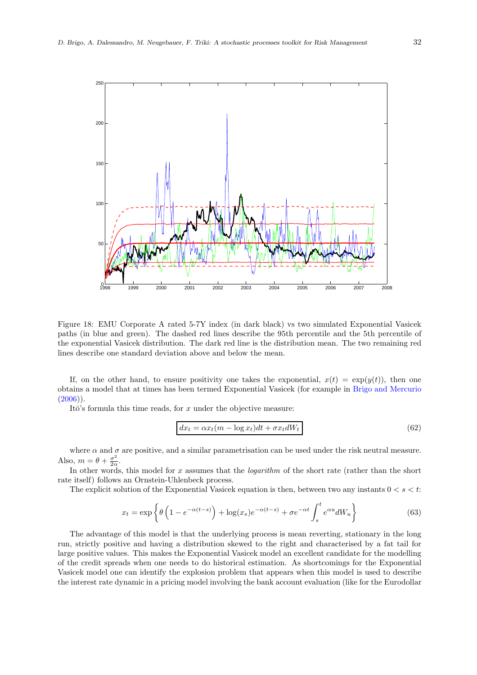<span id="page-31-2"></span>

<span id="page-31-1"></span>Figure 18: EMU Corporate A rated 5-7Y index (in dark black) vs two simulated Exponential Vasicek paths (in blue and green). The dashed red lines describe the 95th percentile and the 5th percentile of the exponential Vasicek distribution. The dark red line is the distribution mean. The two remaining red lines describe one standard deviation above and below the mean.

If, on the other hand, to ensure positivity one takes the exponential,  $x(t) = \exp(y(t))$ , then one obtains a model that at times has been termed Exponential Vasicek (for example in [Brigo and Mercurio](#page-42-15)  $(2006)$ ).

Ito's formula this time reads, for  $x$  under the objective measure:

<span id="page-31-0"></span>
$$
dx_t = \alpha x_t (m - \log x_t) dt + \sigma x_t dW_t
$$
\n(62)

where  $\alpha$  and  $\sigma$  are positive, and a similar parametrisation can be used under the risk neutral measure. Also,  $m = \theta + \frac{\sigma^2}{2\alpha}$  $\frac{\sigma^2}{2\alpha}$ .

In other words, this model for x assumes that the *logarithm* of the short rate (rather than the short rate itself) follows an Ornstein-Uhlenbeck process.

The explicit solution of the Exponential Vasicek equation is then, between two any instants  $0 < s < t$ :

$$
x_t = \exp\left\{\theta\left(1 - e^{-\alpha(t-s)}\right) + \log(x_s)e^{-\alpha(t-s)} + \sigma e^{-\alpha t} \int_s^t e^{\alpha u} dW_u\right\}
$$
(63)

The advantage of this model is that the underlying process is mean reverting, stationary in the long run, strictly positive and having a distribution skewed to the right and characterised by a fat tail for large positive values. This makes the Exponential Vasicek model an excellent candidate for the modelling of the credit spreads when one needs to do historical estimation. As shortcomings for the Exponential Vasicek model one can identify the explosion problem that appears when this model is used to describe the interest rate dynamic in a pricing model involving the bank account evaluation (like for the Eurodollar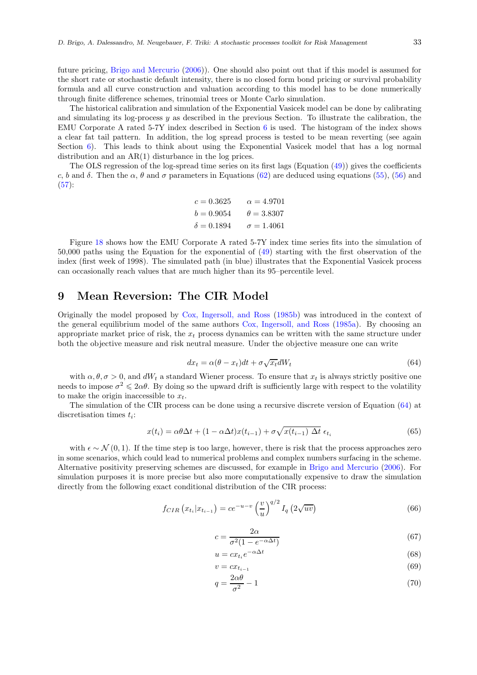<span id="page-32-3"></span>future pricing, [Brigo and Mercurio](#page-42-15) [\(2006](#page-42-15))). One should also point out that if this model is assumed for the short rate or stochastic default intensity, there is no closed form bond pricing or survival probability formula and all curve construction and valuation according to this model has to be done numerically through finite difference schemes, trinomial trees or Monte Carlo simulation.

The historical calibration and simulation of the Exponential Vasicek model can be done by calibrating and simulating its log-process  $y$  as described in the previous Section. To illustrate the calibration, the EMU Corporate A rated 5-7Y index described in Section [6](#page-24-0) is used. The histogram of the index shows a clear fat tail pattern. In addition, the log spread process is tested to be mean reverting (see again Section  $6$ ). This leads to think about using the Exponential Vasicek model that has a log normal distribution and an AR(1) disturbance in the log prices.

The OLS regression of the log-spread time series on its first lags (Equation  $(49)$ ) gives the coefficients c, b and δ. Then the  $\alpha$ ,  $\theta$  and  $\sigma$  parameters in Equations [\(62\)](#page-31-0) are deduced using equations [\(55\)](#page-28-2), [\(56\)](#page-28-2) and  $(57):$  $(57):$ 

| $c = 0.3625$      | $\alpha = 4.9701$ |
|-------------------|-------------------|
| $b = 0.9054$      | $\theta = 3.8307$ |
| $\delta = 0.1894$ | $\sigma = 1.4061$ |

Figure [18](#page-31-1) shows how the EMU Corporate A rated 5-7Y index time series fits into the simulation of 50,000 paths using the Equation for the exponential of [\(49\)](#page-28-0) starting with the first observation of the index (first week of 1998). The simulated path (in blue) illustrates that the Exponential Vasicek process can occasionally reach values that are much higher than its 95–percentile level.

# <span id="page-32-0"></span>9 Mean Reversion: The CIR Model

Originally the model proposed by [Cox, Ingersoll, and Ross](#page-42-16) [\(1985b\)](#page-42-16) was introduced in the context of the general equilibrium model of the same authors [Cox, Ingersoll, and Ross](#page-42-17) [\(1985a\)](#page-42-17). By choosing an appropriate market price of risk, the  $x_t$  process dynamics can be written with the same structure under both the objective measure and risk neutral measure. Under the objective measure one can write

<span id="page-32-1"></span>
$$
dx_t = \alpha(\theta - x_t)dt + \sigma\sqrt{x_t}dW_t
$$
\n(64)

with  $\alpha, \theta, \sigma > 0$ , and  $dW_t$  a standard Wiener process. To ensure that  $x_t$  is always strictly positive one needs to impose  $\sigma^2 \leq 2\alpha\theta$ . By doing so the upward drift is sufficiently large with respect to the volatility to make the origin inaccessible to  $x_t$ .

The simulation of the CIR process can be done using a recursive discrete version of Equation [\(64\)](#page-32-1) at discretisation times  $t_i$ :

<span id="page-32-2"></span>
$$
x(t_i) = \alpha \theta \Delta t + (1 - \alpha \Delta t) x(t_{i-1}) + \sigma \sqrt{x(t_{i-1}) \Delta t} \epsilon_{t_i}
$$
\n(65)

with  $\epsilon \sim \mathcal{N}(0, 1)$ . If the time step is too large, however, there is risk that the process approaches zero in some scenarios, which could lead to numerical problems and complex numbers surfacing in the scheme. Alternative positivity preserving schemes are discussed, for example in [Brigo and Mercurio](#page-42-15) [\(2006](#page-42-15)). For simulation purposes it is more precise but also more computationally expensive to draw the simulation directly from the following exact conditional distribution of the CIR process:

$$
f_{CIR}\left(x_{t_i}|x_{t_{i-1}}\right) = ce^{-u-v}\left(\frac{v}{u}\right)^{q/2}I_q\left(2\sqrt{uv}\right)
$$
\n(66)

$$
c = \frac{2\alpha}{\sigma^2 (1 - e^{-\alpha \Delta t})} \tag{67}
$$

$$
u = cx_{t_i}e^{-\alpha \Delta t} \tag{68}
$$

$$
v = cx_{t_{i-1}} \tag{69}
$$

$$
q = \frac{2\alpha\theta}{\sigma^2} - 1\tag{70}
$$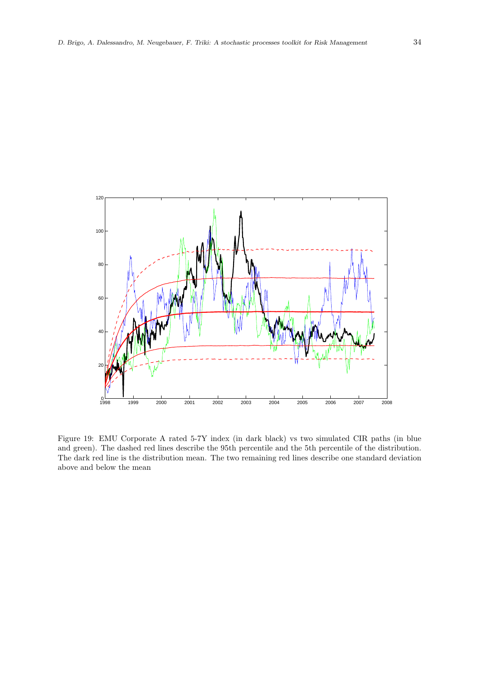

<span id="page-33-0"></span>Figure 19: EMU Corporate A rated 5-7Y index (in dark black) vs two simulated CIR paths (in blue and green). The dashed red lines describe the 95th percentile and the 5th percentile of the distribution. The dark red line is the distribution mean. The two remaining red lines describe one standard deviation above and below the mean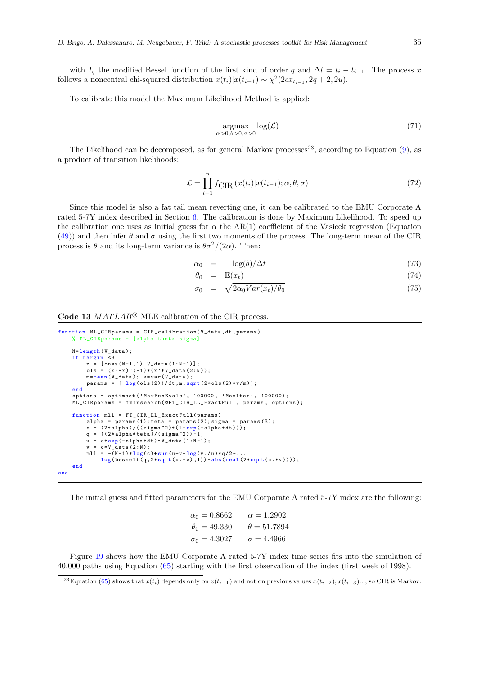with I<sub>q</sub> the modified Bessel function of the first kind of order q and  $\Delta t = t_i - t_{i-1}$ . The process x follows a noncentral chi-squared distribution  $x(t_i)|x(t_{i-1}) \sim \chi^2(2cx_{t_{i-1}}, 2q+2, 2u)$ .

To calibrate this model the Maximum Likelihood Method is applied:

$$
\underset{\alpha>0,\theta>0,\sigma>0}{\operatorname{argmax}} \log(\mathcal{L}) \tag{71}
$$

The Likelihood can be decomposed, as for general Markov processes<sup>23</sup>, according to Equation  $(9)$ , as a product of transition likelihoods:

$$
\mathcal{L} = \prod_{i=1}^{n} f_{\text{CIR}}\left(x(t_i)|x(t_{i-1}); \alpha, \theta, \sigma\right)
$$
\n(72)

Since this model is also a fat tail mean reverting one, it can be calibrated to the EMU Corporate A rated 5-7Y index described in Section [6.](#page-24-0) The calibration is done by Maximum Likelihood. To speed up the calibration one uses as initial guess for  $\alpha$  the AR(1) coefficient of the Vasicek regression (Equation [\(49\)](#page-28-0)) and then infer  $\theta$  and  $\sigma$  using the first two moments of the process. The long-term mean of the CIR process is  $\theta$  and its long-term variance is  $\theta \sigma^2/(2\alpha)$ . Then:

$$
\alpha_0 = -\log(b)/\Delta t \tag{73}
$$

$$
\theta_0 = \mathbb{E}(x_t) \tag{74}
$$

$$
\sigma_0 = \sqrt{2\alpha_0 Var(x_t)/\theta_0} \tag{75}
$$

#### Code 13  $MATLAB^{\circledR}$  MLE calibration of the CIR process.

```
function ML_CIRparams = CIR_calibration( V_data ,dt , params )
    % ML_CIRparams = [ alpha theta sigma ]
    N = length (V_data);
     if nargin <3
          x = [ones(N-1,1) V_data(1:N-1)];ols = (x' * x) ^ (-1)*(x'* V_data (2: N));
          m = mean (V_data); v = var(V_data);params = [-\log(\text{ols}(2))/dt, m, \text{sqrt}(2 * \text{ols}(2) * \text{v/m})];end
     options = optimset('MaxFunEvals', 100000, 'MaxIter', 100000);<br>ML_CIRparams = fminsearch(@FT_CIR_LL_ExactFull, params, options);
     function mll = FT_CIR_LL_ExactFull( params )
          alpha = params (1); teta = params (2); sigma = params (3);
          c = (2 * alpha) / ((sigma^2) * (1 - exp(-alpha * dt)));
          q = ((2 * alpha * teta) / (sigma^2)) -1;u = c * exp(-alpha * dt) * V_data (1:N-1);v = c * V_{\text{data}}(2:N);mll = -(N-1)*log(c) + sum(u+v-log(v./u)*q/2-...log( besseli(q, 2*sqrt(u.*v), 1)) - abs(real(2*sqrt(u.*v)));
     end
end
```
The initial guess and fitted parameters for the EMU Corporate A rated 5-7Y index are the following:

| $\alpha_0 = 0.8662$ | $\alpha = 1.2902$  |
|---------------------|--------------------|
| $\theta_0 = 49.330$ | $\theta = 51.7894$ |
| $\sigma_0 = 4.3027$ | $\sigma = 4.4966$  |

Figure [19](#page-33-0) shows how the EMU Corporate A rated 5-7Y index time series fits into the simulation of 40,000 paths using Equation [\(65\)](#page-32-2) starting with the first observation of the index (first week of 1998).

<sup>&</sup>lt;sup>23</sup>Equation [\(65\)](#page-32-2) shows that  $x(t_i)$  depends only on  $x(t_{i-1})$  and not on previous values  $x(t_{i-2}), x(t_{i-3})...$ , so CIR is Markov.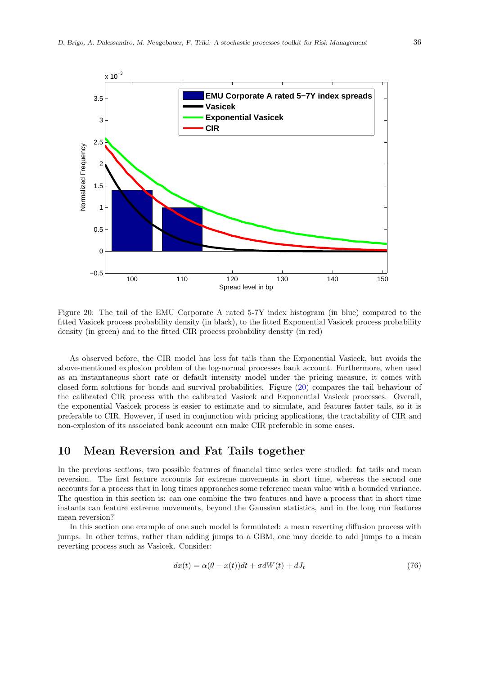

<span id="page-35-1"></span>Figure 20: The tail of the EMU Corporate A rated 5-7Y index histogram (in blue) compared to the fitted Vasicek process probability density (in black), to the fitted Exponential Vasicek process probability density (in green) and to the fitted CIR process probability density (in red)

As observed before, the CIR model has less fat tails than the Exponential Vasicek, but avoids the above-mentioned explosion problem of the log-normal processes bank account. Furthermore, when used as an instantaneous short rate or default intensity model under the pricing measure, it comes with closed form solutions for bonds and survival probabilities. Figure [\(20\)](#page-35-1) compares the tail behaviour of the calibrated CIR process with the calibrated Vasicek and Exponential Vasicek processes. Overall, the exponential Vasicek process is easier to estimate and to simulate, and features fatter tails, so it is preferable to CIR. However, if used in conjunction with pricing applications, the tractability of CIR and non-explosion of its associated bank account can make CIR preferable in some cases.

# <span id="page-35-0"></span>10 Mean Reversion and Fat Tails together

In the previous sections, two possible features of financial time series were studied: fat tails and mean reversion. The first feature accounts for extreme movements in short time, whereas the second one accounts for a process that in long times approaches some reference mean value with a bounded variance. The question in this section is: can one combine the two features and have a process that in short time instants can feature extreme movements, beyond the Gaussian statistics, and in the long run features mean reversion?

In this section one example of one such model is formulated: a mean reverting diffusion process with jumps. In other terms, rather than adding jumps to a GBM, one may decide to add jumps to a mean reverting process such as Vasicek. Consider:

<span id="page-35-2"></span>
$$
dx(t) = \alpha(\theta - x(t))dt + \sigma dW(t) + dJ_t
$$
\n(76)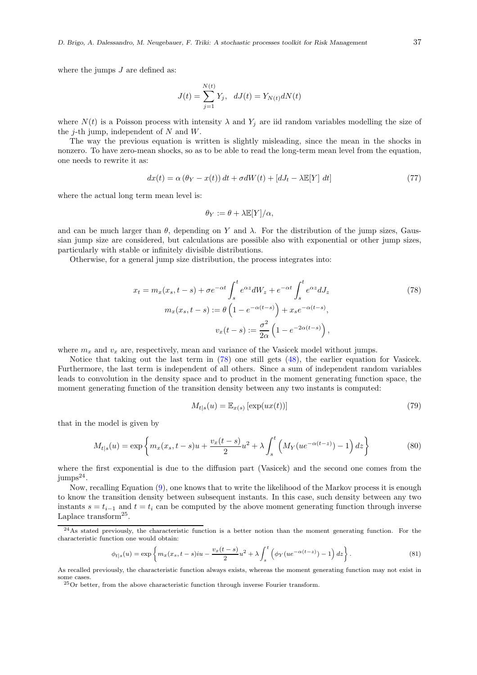where the jumps  $J$  are defined as:

$$
J(t) = \sum_{j=1}^{N(t)} Y_j, \quad dJ(t) = Y_{N(t)} dN(t)
$$

where  $N(t)$  is a Poisson process with intensity  $\lambda$  and  $Y_i$  are iid random variables modelling the size of the *j*-th jump, independent of  $N$  and  $W$ .

The way the previous equation is written is slightly misleading, since the mean in the shocks in nonzero. To have zero-mean shocks, so as to be able to read the long-term mean level from the equation, one needs to rewrite it as:

<span id="page-36-1"></span>
$$
dx(t) = \alpha (\theta_Y - x(t)) dt + \sigma dW(t) + [dJ_t - \lambda \mathbb{E}[Y] dt]
$$
\n(77)

where the actual long term mean level is:

$$
\theta_Y := \theta + \lambda \mathbb{E}[Y]/\alpha,
$$

and can be much larger than  $\theta$ , depending on Y and  $\lambda$ . For the distribution of the jump sizes, Gaussian jump size are considered, but calculations are possible also with exponential or other jump sizes, particularly with stable or infinitely divisible distributions.

Otherwise, for a general jump size distribution, the process integrates into:

<span id="page-36-0"></span>
$$
x_t = m_x(x_s, t - s) + \sigma e^{-\alpha t} \int_s^t e^{\alpha z} dW_z + e^{-\alpha t} \int_s^t e^{\alpha z} dJ_z
$$
  
\n
$$
m_x(x_s, t - s) := \theta \left( 1 - e^{-\alpha(t - s)} \right) + x_s e^{-\alpha(t - s)},
$$
  
\n
$$
v_x(t - s) := \frac{\sigma^2}{2\alpha} \left( 1 - e^{-2\alpha(t - s)} \right),
$$
\n(78)

where  $m_x$  and  $v_x$  are, respectively, mean and variance of the Vasicek model without jumps.

Notice that taking out the last term in [\(78\)](#page-36-0) one still gets [\(48\)](#page-28-1), the earlier equation for Vasicek. Furthermore, the last term is independent of all others. Since a sum of independent random variables leads to convolution in the density space and to product in the moment generating function space, the moment generating function of the transition density between any two instants is computed:

$$
M_{t|s}(u) = \mathbb{E}_{x(s)}\left[\exp(ux(t))\right] \tag{79}
$$

that in the model is given by

$$
M_{t|s}(u) = \exp\left\{m_x(x_s, t-s)u + \frac{v_x(t-s)}{2}u^2 + \lambda \int_s^t \left(M_Y(ue^{-\alpha(t-z)}) - 1\right)dz\right\}
$$
(80)

where the first exponential is due to the diffusion part (Vasicek) and the second one comes from the  $jumps<sup>24</sup>$ .

$$
\phi_{t|s}(u) = \exp\left\{m_x(x_s, t-s)iu - \frac{v_x(t-s)}{2}u^2 + \lambda \int_s^t \left(\phi_Y(ue^{-\alpha(t-z)}) - 1\right)dz\right\}.
$$
\n(81)

Now, recalling Equation [\(9\)](#page-7-1), one knows that to write the likelihood of the Markov process it is enough to know the transition density between subsequent instants. In this case, such density between any two instants  $s = t_{i-1}$  and  $t = t_i$  can be computed by the above moment generating function through inverse Laplace transform<sup>25</sup>.

 $^{24}$ As stated previously, the characteristic function is a better notion than the moment generating function. For the characteristic function one would obtain:

As recalled previously, the characteristic function always exists, whereas the moment generating function may not exist in some cases.

<sup>25</sup>Or better, from the above characteristic function through inverse Fourier transform.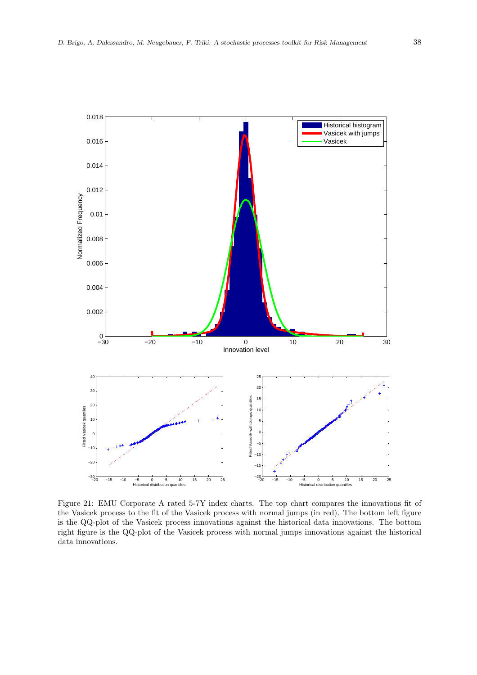

<span id="page-37-0"></span>Figure 21: EMU Corporate A rated 5-7Y index charts. The top chart compares the innovations fit of the Vasicek process to the fit of the Vasicek process with normal jumps (in red). The bottom left figure is the QQ-plot of the Vasicek process innovations against the historical data innovations. The bottom right figure is the QQ-plot of the Vasicek process with normal jumps innovations against the historical data innovations.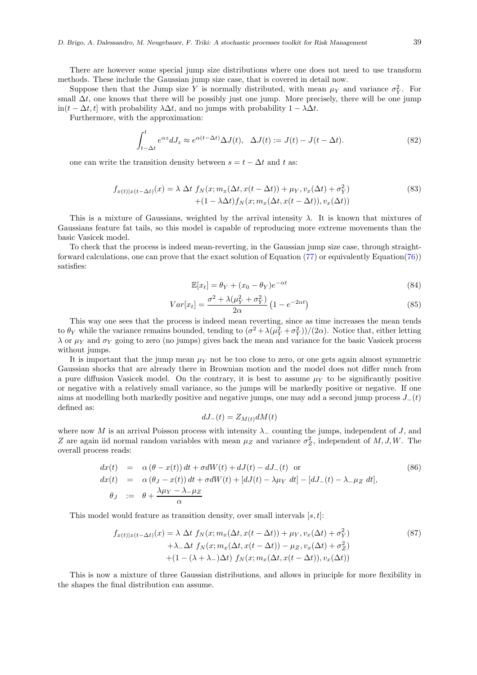There are however some special jump size distributions where one does not need to use transform methods. These include the Gaussian jump size case, that is covered in detail now.

Suppose then that the Jump size Y is normally distributed, with mean  $\mu_Y$  and variance  $\sigma_Y^2$ . For small  $\Delta t$ , one knows that there will be possibly just one jump. More precisely, there will be one jump in(t –  $\Delta t$ , t] with probability  $\lambda \Delta t$ , and no jumps with probability  $1 - \lambda \Delta t$ .

Furthermore, with the approximation:

$$
\int_{t-\Delta t}^{t} e^{\alpha z} dJ_z \approx e^{\alpha (t-\Delta t)} \Delta J(t), \quad \Delta J(t) := J(t) - J(t-\Delta t). \tag{82}
$$

one can write the transition density between  $s = t - \Delta t$  and t as:

$$
f_{x(t)|x(t-\Delta t)}(x) = \lambda \Delta t \ f_N(x; m_x(\Delta t, x(t-\Delta t)) + \mu_Y, v_x(\Delta t) + \sigma_Y^2) + (1 - \lambda \Delta t) f_N(x; m_x(\Delta t, x(t-\Delta t)), v_x(\Delta t))
$$
\n(83)

This is a mixture of Gaussians, weighted by the arrival intensity  $\lambda$ . It is known that mixtures of Gaussians feature fat tails, so this model is capable of reproducing more extreme movements than the basic Vasicek model.

To check that the process is indeed mean-reverting, in the Gaussian jump size case, through straightforward calculations, one can prove that the exact solution of Equation [\(77\)](#page-36-1) or equivalently Equation[\(76\)](#page-35-2)) satisfies:

$$
\mathbb{E}[x_t] = \theta_Y + (x_0 - \theta_Y)e^{-\alpha t}
$$
\n(84)

$$
Var[x_t] = \frac{\sigma^2 + \lambda(\mu_Y^2 + \sigma_Y^2)}{2\alpha} \left(1 - e^{-2\alpha t}\right)
$$
\n(85)

This way one sees that the process is indeed mean reverting, since as time increases the mean tends to  $\theta_Y$  while the variance remains bounded, tending to  $(\sigma^2 + \lambda(\mu_Y^2 + \sigma_Y^2))/(2\alpha)$ . Notice that, either letting  $\lambda$  or  $\mu_Y$  and  $\sigma_Y$  going to zero (no jumps) gives back the mean and variance for the basic Vasicek process without jumps.

It is important that the jump mean  $\mu_Y$  not be too close to zero, or one gets again almost symmetric Gaussian shocks that are already there in Brownian motion and the model does not differ much from a pure diffusion Vasicek model. On the contrary, it is best to assume  $\mu_Y$  to be significantly positive or negative with a relatively small variance, so the jumps will be markedly positive or negative. If one aims at modelling both markedly positive and negative jumps, one may add a second jump process  $J_-(t)$ defined as:

$$
dJ_{-}(t) = Z_{M(t)} dM(t)
$$

where now M is an arrival Poisson process with intensity  $\lambda_-\$ counting the jumps, independent of J, and Z are again iid normal random variables with mean  $\mu_Z$  and variance  $\sigma_Z^2$ , independent of M, J, W. The overall process reads:

<span id="page-38-0"></span>
$$
dx(t) = \alpha (\theta - x(t)) dt + \sigma dW(t) + dJ(t) - dJ_{-}(t) \text{ or}
$$
  
\n
$$
dx(t) = \alpha (\theta_J - x(t)) dt + \sigma dW(t) + [dJ(t) - \lambda \mu_Y dt] - [dJ_{-}(t) - \lambda_{-} \mu_Z dt],
$$
  
\n
$$
\theta_J := \theta + \frac{\lambda \mu_Y - \lambda_{-} \mu_Z}{\alpha}
$$
\n(86)

This model would feature as transition density, over small intervals  $[s, t]$ :

$$
f_{x(t)|x(t-\Delta t)}(x) = \lambda \Delta t \ f_N(x; m_x(\Delta t, x(t-\Delta t)) + \mu_Y, v_x(\Delta t) + \sigma_Y^2)
$$
  
+  $\lambda \Delta t \ f_N(x; m_x(\Delta t, x(t-\Delta t)) - \mu_Z, v_x(\Delta t) + \sigma_Z^2)$   
+  $(1 - (\lambda + \lambda_-)\Delta t) \ f_N(x; m_x(\Delta t, x(t-\Delta t)), v_x(\Delta t))$  (87)

This is now a mixture of three Gaussian distributions, and allows in principle for more flexibility in the shapes the final distribution can assume.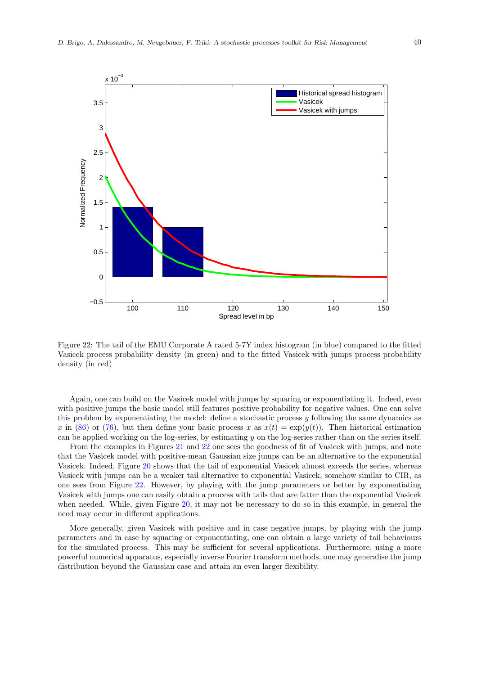

<span id="page-39-0"></span>Figure 22: The tail of the EMU Corporate A rated 5-7Y index histogram (in blue) compared to the fitted Vasicek process probability density (in green) and to the fitted Vasicek with jumps process probability density (in red)

Again, one can build on the Vasicek model with jumps by squaring or exponentiating it. Indeed, even with positive jumps the basic model still features positive probability for negative values. One can solve this problem by exponentiating the model: define a stochastic process  $y$  following the same dynamics as x in [\(86\)](#page-38-0) or [\(76\)](#page-35-2), but then define your basic process x as  $x(t) = \exp(y(t))$ . Then historical estimation can be applied working on the log-series, by estimating y on the log-series rather than on the series itself.

From the examples in Figures [21](#page-37-0) and [22](#page-39-0) one sees the goodness of fit of Vasicek with jumps, and note that the Vasicek model with positive-mean Gaussian size jumps can be an alternative to the exponential Vasicek. Indeed, Figure [20](#page-35-1) shows that the tail of exponential Vasicek almost exceeds the series, whereas Vasicek with jumps can be a weaker tail alternative to exponential Vasicek, somehow similar to CIR, as one sees from Figure [22.](#page-39-0) However, by playing with the jump parameters or better by exponentiating Vasicek with jumps one can easily obtain a process with tails that are fatter than the exponential Vasicek when needed. While, given Figure [20,](#page-35-1) it may not be necessary to do so in this example, in general the need may occur in different applications.

More generally, given Vasicek with positive and in case negative jumps, by playing with the jump parameters and in case by squaring or exponentiating, one can obtain a large variety of tail behaviours for the simulated process. This may be sufficient for several applications. Furthermore, using a more powerful numerical apparatus, especially inverse Fourier transform methods, one may generalise the jump distribution beyond the Gaussian case and attain an even larger flexibility.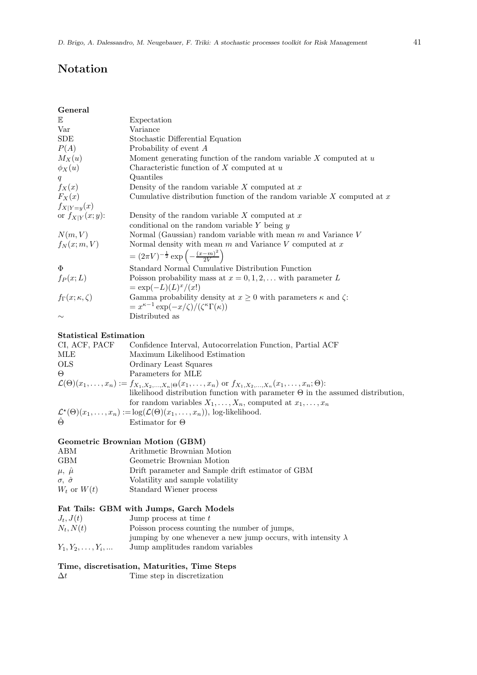# Notation

| General                        |                                                                                |
|--------------------------------|--------------------------------------------------------------------------------|
| $\mathbb E$                    | Expectation                                                                    |
| Var                            | Variance                                                                       |
| <b>SDE</b>                     | Stochastic Differential Equation                                               |
| P(A)                           | Probability of event A                                                         |
| $M_X(u)$                       | Moment generating function of the random variable $X$ computed at $u$          |
| $\phi_X(u)$                    | Characteristic function of $X$ computed at $u$                                 |
| $q_{\parallel}$                | Quantiles                                                                      |
| $f_X(x)$                       | Density of the random variable $X$ computed at $x$                             |
| $F_X(x)$                       | Cumulative distribution function of the random variable $X$ computed at $x$    |
| $f_{X Y=y}(x)$                 |                                                                                |
| or $f_{X Y}(x; y)$ :           | Density of the random variable $X$ computed at $x$                             |
|                                | conditional on the random variable $Y$ being $y$                               |
| N(m, V)                        | Normal (Gaussian) random variable with mean $m$ and Variance $V$               |
| $f_N(x; m, V)$                 | Normal density with mean $m$ and Variance $V$ computed at $x$                  |
|                                | $=(2\pi V)^{-\frac{1}{2}}\exp\left(-\frac{(x-m)^2}{2V}\right)$                 |
| Φ                              | Standard Normal Cumulative Distribution Function                               |
|                                | Poisson probability mass at $x = 0, 1, 2, \dots$ with parameter L              |
| $f_P(x;L)$                     | $= \exp(-L)(L)^{x}/(x!)$                                                       |
| $f_{\Gamma}(x; \kappa, \zeta)$ | Gamma probability density at $x \geq 0$ with parameters $\kappa$ and $\zeta$ : |
|                                | $= x^{\kappa-1} \exp(-x/\zeta)/(\zeta^{\kappa} \Gamma(\kappa))$                |
| $\sim$                         | Distributed as                                                                 |
|                                |                                                                                |

#### Statistical Estimation

| CI, ACF, PACF | Confidence Interval, Autocorrelation Function, Partial ACF                                                                                  |
|---------------|---------------------------------------------------------------------------------------------------------------------------------------------|
| MLE           | Maximum Likelihood Estimation                                                                                                               |
| <b>OLS</b>    | Ordinary Least Squares                                                                                                                      |
| $\Theta$      | Parameters for MLE                                                                                                                          |
|               | $\mathcal{L}(\Theta)(x_1,\ldots,x_n) := f_{X_1,X_2,\ldots,X_n \Theta}(x_1,\ldots,x_n)$ or $f_{X_1,X_2,\ldots,X_n}(x_1,\ldots,x_n;\Theta)$ : |
|               | likelihood distribution function with parameter $\Theta$ in the assumed distribution,                                                       |
|               | for random variables $X_1, \ldots, X_n$ , computed at $x_1, \ldots, x_n$                                                                    |
|               | $\mathcal{L}^*(\Theta)(x_1,\ldots,x_n) := \log(\mathcal{L}(\Theta)(x_1,\ldots,x_n)),$ log-likelihood.                                       |
| Â             | Estimator for $\Theta$                                                                                                                      |

### Geometric Brownian Motion (GBM)

| ABM                       | Arithmetic Brownian Motion                        |
|---------------------------|---------------------------------------------------|
| <b>GBM</b>                | Geometric Brownian Motion                         |
| $\mu, \hat{\mu}$          | Drift parameter and Sample drift estimator of GBM |
| $\sigma$ , $\hat{\sigma}$ | Volatility and sample volatility                  |
| $W_t$ or $W(t)$           | Standard Wiener process                           |

#### Fat Tails: GBM with Jumps, Garch Models

| $J_t, J(t)$ | Jump process at time $t$                      |
|-------------|-----------------------------------------------|
| $N_t, N(t)$ | Poisson process counting the number of jumps, |

| jumping by one whenever a new jump occurs, with intensity $\lambda$ |
|---------------------------------------------------------------------|
| $Y_1, Y_2, \ldots, Y_i, \ldots$ Jump amplitudes random variables    |

### Time, discretisation, Maturities, Time Steps

 $\Delta t$  Time step in discretization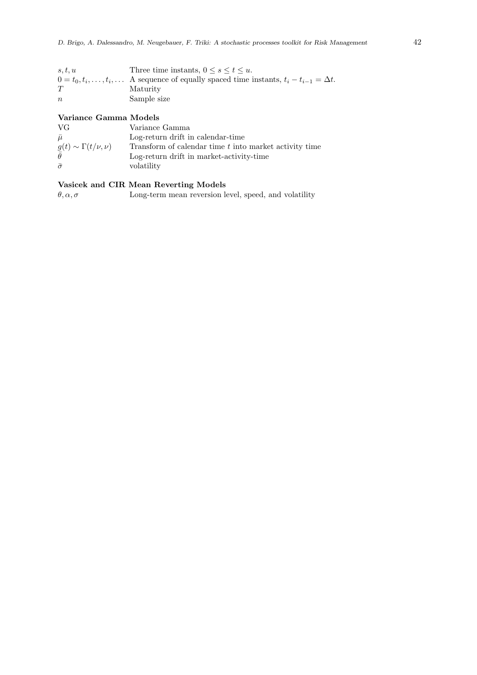| s, t, u   | Three time instants, $0 \leq s \leq t \leq u$ .                                                              |
|-----------|--------------------------------------------------------------------------------------------------------------|
|           | $0 = t_0, t_i, \ldots, t_i, \ldots$ A sequence of equally spaced time instants, $t_i - t_{i-1} = \Delta t$ . |
| T         | Maturity                                                                                                     |
| $n_{\rm}$ | Sample size                                                                                                  |

### Variance Gamma Models

| VG                             | Variance Gamma                                         |
|--------------------------------|--------------------------------------------------------|
| $\bar{\mu}$                    | Log-return drift in calendar-time                      |
| $g(t) \sim \Gamma(t/\nu, \nu)$ | Transform of calendar time t into market activity time |
| $\theta$                       | Log-return drift in market-activity-time               |
| $\bar{\sigma}$                 | volatility                                             |

Vasicek and CIR Mean Reverting Models  $\theta, \alpha, \sigma$  Long-term mean reversion l Long-term mean reversion level, speed, and volatility